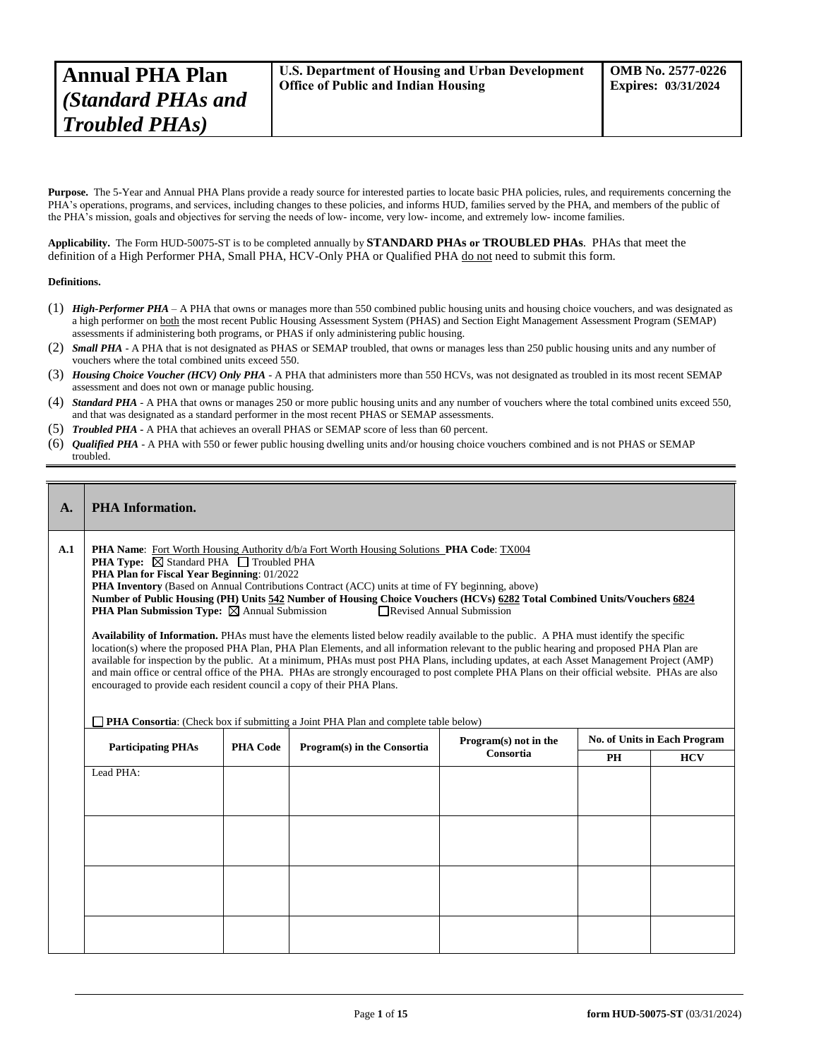Purpose. The 5-Year and Annual PHA Plans provide a ready source for interested parties to locate basic PHA policies, rules, and requirements concerning the PHA's operations, programs, and services, including changes to these policies, and informs HUD, families served by the PHA, and members of the public of the PHA's mission, goals and objectives for serving the needs of low- income, very low- income, and extremely low- income families.

**Applicability.** The Form HUD-50075-ST is to be completed annually by **STANDARD PHAs or TROUBLED PHAs**. PHAs that meet the definition of a High Performer PHA, Small PHA, HCV-Only PHA or Qualified PHA do not need to submit this form.

#### **Definitions.**

- (1) *High-Performer PHA* A PHA that owns or manages more than 550 combined public housing units and housing choice vouchers, and was designated as a high performer on both the most recent Public Housing Assessment System (PHAS) and Section Eight Management Assessment Program (SEMAP) assessments if administering both programs, or PHAS if only administering public housing.
- (2) *Small PHA* A PHA that is not designated as PHAS or SEMAP troubled, that owns or manages less than 250 public housing units and any number of vouchers where the total combined units exceed 550.
- (3) *Housing Choice Voucher (HCV) Only PHA* A PHA that administers more than 550 HCVs, was not designated as troubled in its most recent SEMAP assessment and does not own or manage public housing.
- (4) *Standard PHA* A PHA that owns or manages 250 or more public housing units and any number of vouchers where the total combined units exceed 550, and that was designated as a standard performer in the most recent PHAS or SEMAP assessments.
- (5) *Troubled PHA* **-** A PHA that achieves an overall PHAS or SEMAP score of less than 60 percent.
- (6) *Qualified PHA* A PHA with 550 or fewer public housing dwelling units and/or housing choice vouchers combined and is not PHAS or SEMAP troubled.

## **A. PHA Information.**

**A.1 PHA Name**: Fort Worth Housing Authority d/b/a Fort Worth Housing Solutions **PHA Code**: TX004

**PHA Type:**  $\overline{\boxtimes}$  Standard PHA  $\overline{\Box}$  Troubled PHA

**PHA Plan for Fiscal Year Beginning**: 01/2022

**PHA Inventory** (Based on Annual Contributions Contract (ACC) units at time of FY beginning, above)

**Number of Public Housing (PH) Units 542 Number of Housing Choice Vouchers (HCVs) 6282 Total Combined Units/Vouchers 6824 PHA Plan Submission Type:**  $\boxtimes$  Annual Submission **Revised Annual Submission** 

**Availability of Information.** PHAs must have the elements listed below readily available to the public. A PHA must identify the specific location(s) where the proposed PHA Plan, PHA Plan Elements, and all information relevant to the public hearing and proposed PHA Plan are available for inspection by the public. At a minimum, PHAs must post PHA Plans, including updates, at each Asset Management Project (AMP) and main office or central office of the PHA. PHAs are strongly encouraged to post complete PHA Plans on their official website. PHAs are also encouraged to provide each resident council a copy of their PHA Plans.

**PHA Consortia:** (Check box if submitting a Joint PHA Plan and complete table below)

| <b>Participating PHAs</b> | <b>PHA Code</b> | Program(s) in the Consortia | Program(s) not in the | No. of Units in Each Program |  |  |
|---------------------------|-----------------|-----------------------------|-----------------------|------------------------------|--|--|
|                           | Consortia       |                             | PH                    | <b>HCV</b>                   |  |  |
| Lead PHA:                 |                 |                             |                       |                              |  |  |
|                           |                 |                             |                       |                              |  |  |
|                           |                 |                             |                       |                              |  |  |
|                           |                 |                             |                       |                              |  |  |
|                           |                 |                             |                       |                              |  |  |
|                           |                 |                             |                       |                              |  |  |
|                           |                 |                             |                       |                              |  |  |
|                           |                 |                             |                       |                              |  |  |
|                           |                 |                             |                       |                              |  |  |
|                           |                 |                             |                       |                              |  |  |
|                           |                 |                             |                       |                              |  |  |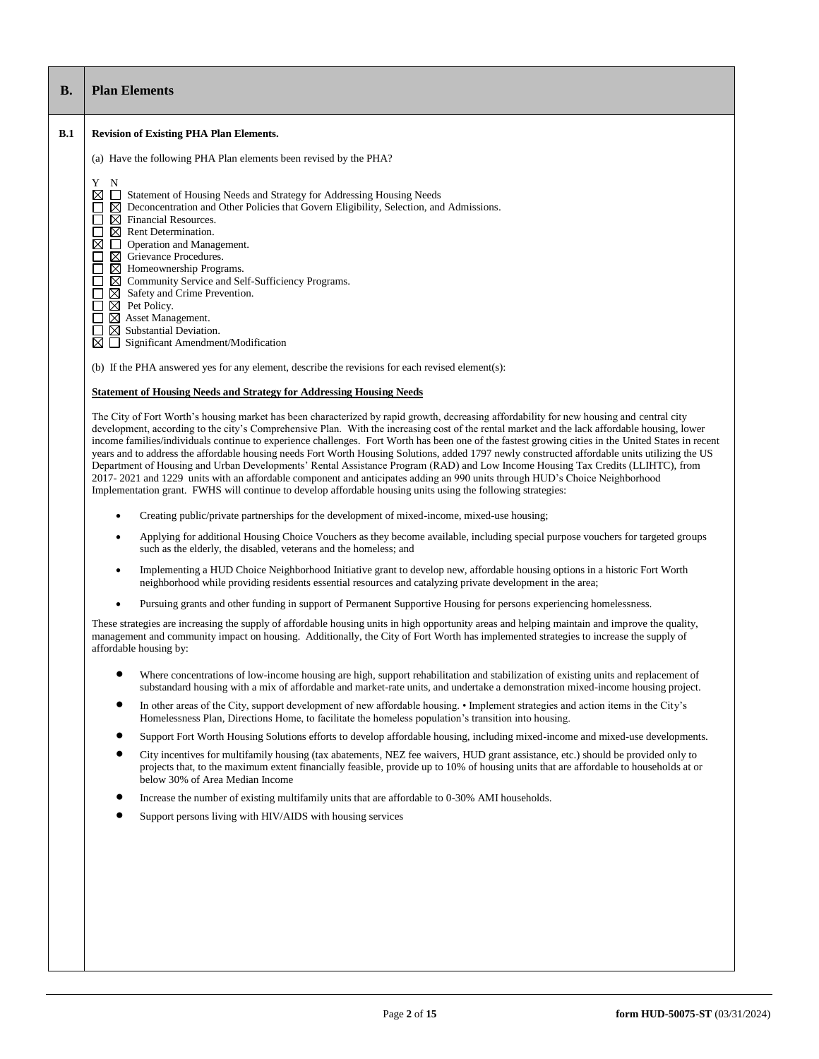# **B. Plan Elements**

## **B.1 Revision of Existing PHA Plan Elements.**

(a) Have the following PHA Plan elements been revised by the PHA?

Y N

- $\boxtimes$   $\Box$  Statement of Housing Needs and Strategy for Addressing Housing Needs
- $\Box$   $\boxtimes$  Deconcentration and Other Policies that Govern Eligibility, Selection, and Admissions.<br> $\Box$   $\boxtimes$  Rent Determination.
- $\boxtimes$  Financial Resources.
- □ ⊠ Rent Determination.<br>⊠ □ Operation and Mana
- **Operation and Management.**
- 
- $\boxtimes$  Homeownership Programs.
- $\begin{array}{ccc}\n\square & \boxtimes & \text{Grievance Procedure}.\n\end{array}$   $\begin{array}{ccc}\n\square & \boxtimes & \text{Gmemunity Service and} \\
\square & \boxtimes & \text{Safety and C$ Community Service and Self-Sufficiency Programs.
- $\begin{array}{ll}\n\square & \text{Safety and Crime Prevention.} \\
\square & \text{Pet Policy.} \\
\square & \text{S Asset Management.} \\
\square & \text{Substantial Deviation.}\n\end{array}$  $\boxtimes$  Pet Policy.
- $\boxtimes$  Asset Management.
- $\boxtimes$  Substantial Deviation.
- $\boxtimes \square$  Significant Amendment/Modification

(b) If the PHA answered yes for any element, describe the revisions for each revised element(s):

## **Statement of Housing Needs and Strategy for Addressing Housing Needs**

The City of Fort Worth's housing market has been characterized by rapid growth, decreasing affordability for new housing and central city development, according to the city's Comprehensive Plan. With the increasing cost of the rental market and the lack affordable housing, lower income families/individuals continue to experience challenges. Fort Worth has been one of the fastest growing cities in the United States in recent years and to address the affordable housing needs Fort Worth Housing Solutions, added 1797 newly constructed affordable units utilizing the US Department of Housing and Urban Developments' Rental Assistance Program (RAD) and Low Income Housing Tax Credits (LLIHTC), from 2017- 2021 and 1229 units with an affordable component and anticipates adding an 990 units through HUD's Choice Neighborhood Implementation grant. FWHS will continue to develop affordable housing units using the following strategies:

- Creating public/private partnerships for the development of mixed-income, mixed-use housing;
- Applying for additional Housing Choice Vouchers as they become available, including special purpose vouchers for targeted groups such as the elderly, the disabled, veterans and the homeless; and
- Implementing a HUD Choice Neighborhood Initiative grant to develop new, affordable housing options in a historic Fort Worth neighborhood while providing residents essential resources and catalyzing private development in the area;
- Pursuing grants and other funding in support of Permanent Supportive Housing for persons experiencing homelessness.

These strategies are increasing the supply of affordable housing units in high opportunity areas and helping maintain and improve the quality, management and community impact on housing. Additionally, the City of Fort Worth has implemented strategies to increase the supply of affordable housing by:

- Where concentrations of low-income housing are high, support rehabilitation and stabilization of existing units and replacement of substandard housing with a mix of affordable and market-rate units, and undertake a demonstration mixed-income housing project.
- In other areas of the City, support development of new affordable housing. Implement strategies and action items in the City's Homelessness Plan, Directions Home, to facilitate the homeless population's transition into housing.
- Support Fort Worth Housing Solutions efforts to develop affordable housing, including mixed-income and mixed-use developments.
- City incentives for multifamily housing (tax abatements, NEZ fee waivers, HUD grant assistance, etc.) should be provided only to projects that, to the maximum extent financially feasible, provide up to 10% of housing units that are affordable to households at or below 30% of Area Median Income
- Increase the number of existing multifamily units that are affordable to 0-30% AMI households.
- Support persons living with HIV/AIDS with housing services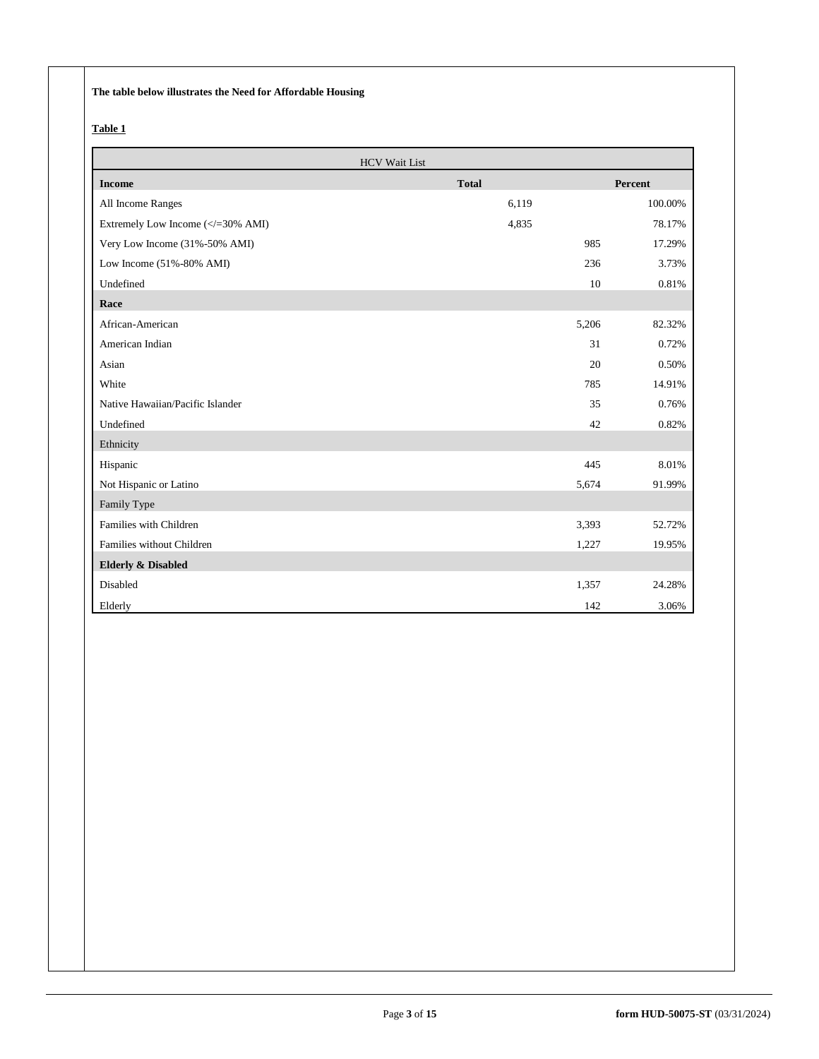**The table below illustrates the Need for Affordable Housing** 

# **Table 1**

| <b>HCV Wait List</b>                                                |              |             |
|---------------------------------------------------------------------|--------------|-------------|
| <b>Income</b>                                                       | <b>Total</b> | Percent     |
| All Income Ranges                                                   | 6,119        | 100.00%     |
| Extremely Low Income ( =30% AMI)</td <td>4,835</td> <td>78.17%</td> | 4,835        | 78.17%      |
| Very Low Income (31%-50% AMI)                                       | 985          | 17.29%      |
| Low Income (51%-80% AMI)                                            | 236          | 3.73%       |
| Undefined                                                           |              | 10<br>0.81% |
| Race                                                                |              |             |
| African-American                                                    | 5,206        | 82.32%      |
| American Indian                                                     |              | 31<br>0.72% |
| Asian                                                               |              | 0.50%<br>20 |
| White                                                               | 785          | 14.91%      |
| Native Hawaiian/Pacific Islander                                    |              | 0.76%<br>35 |
| Undefined                                                           |              | 0.82%<br>42 |
| Ethnicity                                                           |              |             |
| Hispanic                                                            | 445          | 8.01%       |
| Not Hispanic or Latino                                              | 5,674        | 91.99%      |
| Family Type                                                         |              |             |
| Families with Children                                              | 3,393        | 52.72%      |
| Families without Children                                           | 1,227        | 19.95%      |
| <b>Elderly &amp; Disabled</b>                                       |              |             |
| Disabled                                                            | 1,357        | 24.28%      |
| Elderly                                                             | 142          | 3.06%       |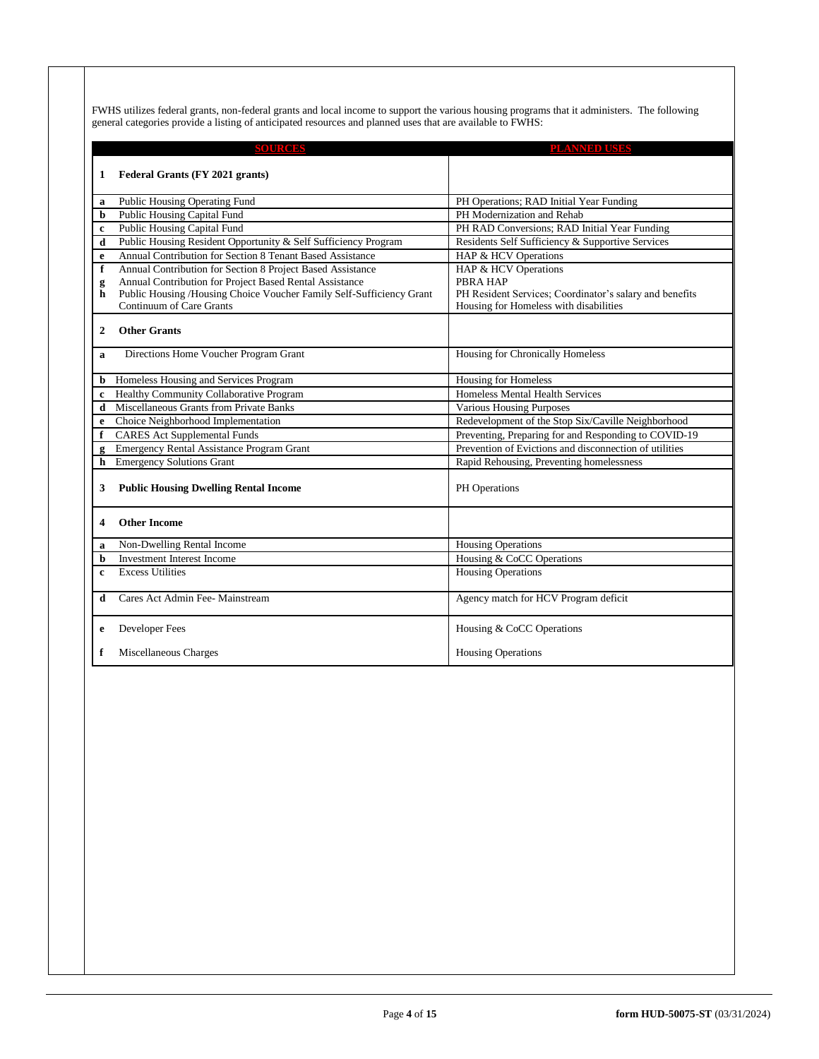FWHS utilizes federal grants, non-federal grants and local income to support the various housing programs that it administers. The following general categories provide a listing of anticipated resources and planned uses that are available to FWHS:

|                         | <b>SOURCES</b>                                                       | <b>PLANNED USES</b>                                     |
|-------------------------|----------------------------------------------------------------------|---------------------------------------------------------|
|                         |                                                                      |                                                         |
| 1                       | Federal Grants (FY 2021 grants)                                      |                                                         |
| a                       | Public Housing Operating Fund                                        | PH Operations; RAD Initial Year Funding                 |
| b                       | Public Housing Capital Fund                                          | PH Modernization and Rehab                              |
| $\mathbf c$             | Public Housing Capital Fund                                          | PH RAD Conversions; RAD Initial Year Funding            |
| d                       | Public Housing Resident Opportunity & Self Sufficiency Program       | Residents Self Sufficiency & Supportive Services        |
| e                       | Annual Contribution for Section 8 Tenant Based Assistance            | HAP & HCV Operations                                    |
| f                       | Annual Contribution for Section 8 Project Based Assistance           | HAP & HCV Operations                                    |
| g                       | Annual Contribution for Project Based Rental Assistance              | <b>PBRA HAP</b>                                         |
| h                       | Public Housing /Housing Choice Voucher Family Self-Sufficiency Grant | PH Resident Services; Coordinator's salary and benefits |
|                         | Continuum of Care Grants                                             | Housing for Homeless with disabilities                  |
| $\mathbf{2}$            | <b>Other Grants</b>                                                  |                                                         |
|                         |                                                                      |                                                         |
| a                       | Directions Home Voucher Program Grant                                | Housing for Chronically Homeless                        |
|                         |                                                                      |                                                         |
| b                       | Homeless Housing and Services Program                                | <b>Housing for Homeless</b>                             |
| $\mathbf c$             | Healthy Community Collaborative Program                              | Homeless Mental Health Services                         |
| d                       | Miscellaneous Grants from Private Banks                              | <b>Various Housing Purposes</b>                         |
| e                       | Choice Neighborhood Implementation                                   | Redevelopment of the Stop Six/Caville Neighborhood      |
| f                       | <b>CARES</b> Act Supplemental Funds                                  | Preventing, Preparing for and Responding to COVID-19    |
|                         | <b>Emergency Rental Assistance Program Grant</b>                     | Prevention of Evictions and disconnection of utilities  |
| $\mathbf h$             | <b>Emergency Solutions Grant</b>                                     | Rapid Rehousing, Preventing homelessness                |
| 3                       | <b>Public Housing Dwelling Rental Income</b>                         | PH Operations                                           |
|                         |                                                                      |                                                         |
| $\overline{\mathbf{4}}$ | <b>Other Income</b>                                                  |                                                         |
|                         |                                                                      |                                                         |
| a                       | Non-Dwelling Rental Income                                           | <b>Housing Operations</b>                               |
| b                       | <b>Investment Interest Income</b>                                    | Housing & CoCC Operations                               |
| $\mathbf{c}$            | <b>Excess Utilities</b>                                              | <b>Housing Operations</b>                               |
| d                       | Cares Act Admin Fee- Mainstream                                      | Agency match for HCV Program deficit                    |
| $\mathbf e$             | Developer Fees                                                       | Housing & CoCC Operations                               |
|                         |                                                                      |                                                         |
| f                       | Miscellaneous Charges                                                | <b>Housing Operations</b>                               |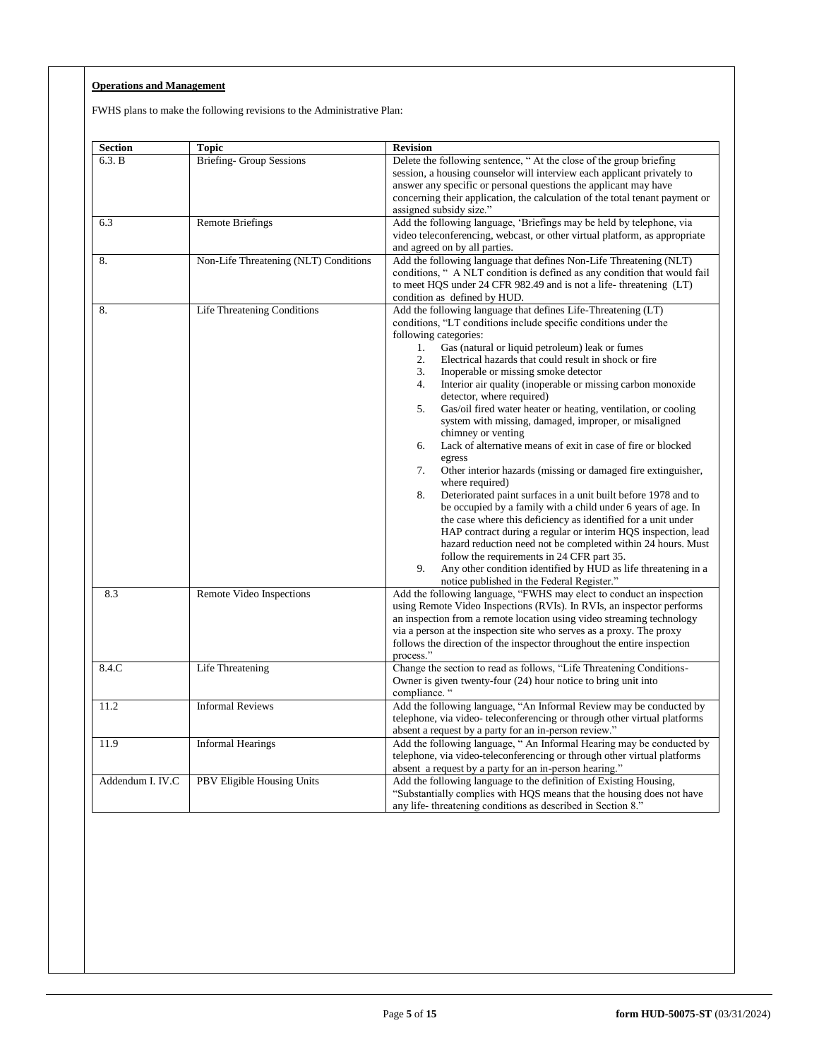# **Operations and Management**

FWHS plans to make the following revisions to the Administrative Plan:

| <b>Section</b>   | Topic                                 | <b>Revision</b>                                                                                                                                                                                                                                                                                                                                                                                                                                                                                                                                                                                                                                                                                                                                                                                                                                                                                                                                                                                                                                                                                                                                                                                                                                                                     |
|------------------|---------------------------------------|-------------------------------------------------------------------------------------------------------------------------------------------------------------------------------------------------------------------------------------------------------------------------------------------------------------------------------------------------------------------------------------------------------------------------------------------------------------------------------------------------------------------------------------------------------------------------------------------------------------------------------------------------------------------------------------------------------------------------------------------------------------------------------------------------------------------------------------------------------------------------------------------------------------------------------------------------------------------------------------------------------------------------------------------------------------------------------------------------------------------------------------------------------------------------------------------------------------------------------------------------------------------------------------|
| 6.3. B           | <b>Briefing- Group Sessions</b>       | Delete the following sentence, "At the close of the group briefing<br>session, a housing counselor will interview each applicant privately to<br>answer any specific or personal questions the applicant may have<br>concerning their application, the calculation of the total tenant payment or<br>assigned subsidy size."                                                                                                                                                                                                                                                                                                                                                                                                                                                                                                                                                                                                                                                                                                                                                                                                                                                                                                                                                        |
| 6.3              | <b>Remote Briefings</b>               | Add the following language, 'Briefings may be held by telephone, via<br>video teleconferencing, webcast, or other virtual platform, as appropriate<br>and agreed on by all parties.                                                                                                                                                                                                                                                                                                                                                                                                                                                                                                                                                                                                                                                                                                                                                                                                                                                                                                                                                                                                                                                                                                 |
| 8.               | Non-Life Threatening (NLT) Conditions | Add the following language that defines Non-Life Threatening (NLT)<br>conditions, " A NLT condition is defined as any condition that would fail<br>to meet HQS under 24 CFR 982.49 and is not a life-threatening (LT)<br>condition as defined by HUD.                                                                                                                                                                                                                                                                                                                                                                                                                                                                                                                                                                                                                                                                                                                                                                                                                                                                                                                                                                                                                               |
| 8.               | Life Threatening Conditions           | Add the following language that defines Life-Threatening (LT)<br>conditions, "LT conditions include specific conditions under the<br>following categories:<br>Gas (natural or liquid petroleum) leak or fumes<br>1.<br>2.<br>Electrical hazards that could result in shock or fire<br>3.<br>Inoperable or missing smoke detector<br>4.<br>Interior air quality (inoperable or missing carbon monoxide)<br>detector, where required)<br>5.<br>Gas/oil fired water heater or heating, ventilation, or cooling<br>system with missing, damaged, improper, or misaligned<br>chimney or venting<br>Lack of alternative means of exit in case of fire or blocked<br>6.<br>egress<br>7.<br>Other interior hazards (missing or damaged fire extinguisher,<br>where required)<br>8.<br>Deteriorated paint surfaces in a unit built before 1978 and to<br>be occupied by a family with a child under 6 years of age. In<br>the case where this deficiency as identified for a unit under<br>HAP contract during a regular or interim HQS inspection, lead<br>hazard reduction need not be completed within 24 hours. Must<br>follow the requirements in 24 CFR part 35.<br>9.<br>Any other condition identified by HUD as life threatening in a<br>notice published in the Federal Register." |
| 8.3              | Remote Video Inspections              | Add the following language, "FWHS may elect to conduct an inspection<br>using Remote Video Inspections (RVIs). In RVIs, an inspector performs<br>an inspection from a remote location using video streaming technology<br>via a person at the inspection site who serves as a proxy. The proxy<br>follows the direction of the inspector throughout the entire inspection<br>process."                                                                                                                                                                                                                                                                                                                                                                                                                                                                                                                                                                                                                                                                                                                                                                                                                                                                                              |
| 8.4.C            | Life Threatening                      | Change the section to read as follows, "Life Threatening Conditions-<br>Owner is given twenty-four (24) hour notice to bring unit into<br>compliance. "                                                                                                                                                                                                                                                                                                                                                                                                                                                                                                                                                                                                                                                                                                                                                                                                                                                                                                                                                                                                                                                                                                                             |
| 11.2             | <b>Informal Reviews</b>               | Add the following language, "An Informal Review may be conducted by<br>telephone, via video-teleconferencing or through other virtual platforms<br>absent a request by a party for an in-person review."                                                                                                                                                                                                                                                                                                                                                                                                                                                                                                                                                                                                                                                                                                                                                                                                                                                                                                                                                                                                                                                                            |
| 11.9             | <b>Informal Hearings</b>              | Add the following language, " An Informal Hearing may be conducted by<br>telephone, via video-teleconferencing or through other virtual platforms<br>absent a request by a party for an in-person hearing."                                                                                                                                                                                                                                                                                                                                                                                                                                                                                                                                                                                                                                                                                                                                                                                                                                                                                                                                                                                                                                                                         |
| Addendum I. IV.C | PBV Eligible Housing Units            | Add the following language to the definition of Existing Housing,<br>"Substantially complies with HQS means that the housing does not have<br>any life-threatening conditions as described in Section 8."                                                                                                                                                                                                                                                                                                                                                                                                                                                                                                                                                                                                                                                                                                                                                                                                                                                                                                                                                                                                                                                                           |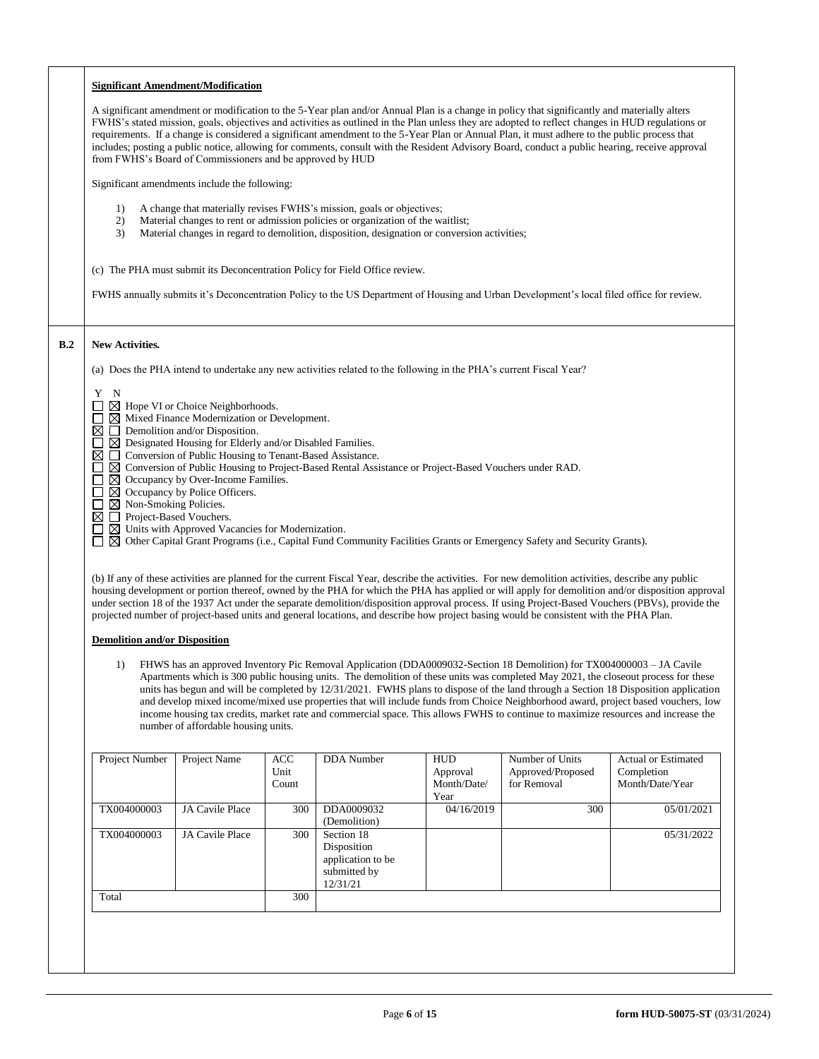|     |                                                                                                                                                                                                                                                                                                        | <b>Significant Amendment/Modification</b>                                                                                        |                   |                                                                                                                                                                                                                                                          |                        |                                                                                                                                                                                                                                                                                                                                                                                                                                                                                                                                                                                                    |                                                                                                                                     |
|-----|--------------------------------------------------------------------------------------------------------------------------------------------------------------------------------------------------------------------------------------------------------------------------------------------------------|----------------------------------------------------------------------------------------------------------------------------------|-------------------|----------------------------------------------------------------------------------------------------------------------------------------------------------------------------------------------------------------------------------------------------------|------------------------|----------------------------------------------------------------------------------------------------------------------------------------------------------------------------------------------------------------------------------------------------------------------------------------------------------------------------------------------------------------------------------------------------------------------------------------------------------------------------------------------------------------------------------------------------------------------------------------------------|-------------------------------------------------------------------------------------------------------------------------------------|
|     |                                                                                                                                                                                                                                                                                                        | from FWHS's Board of Commissioners and be approved by HUD                                                                        |                   |                                                                                                                                                                                                                                                          |                        | A significant amendment or modification to the 5-Year plan and/or Annual Plan is a change in policy that significantly and materially alters<br>FWHS's stated mission, goals, objectives and activities as outlined in the Plan unless they are adopted to reflect changes in HUD regulations or<br>requirements. If a change is considered a significant amendment to the 5-Year Plan or Annual Plan, it must adhere to the public process that<br>includes; posting a public notice, allowing for comments, consult with the Resident Advisory Board, conduct a public hearing, receive approval |                                                                                                                                     |
|     |                                                                                                                                                                                                                                                                                                        | Significant amendments include the following:                                                                                    |                   |                                                                                                                                                                                                                                                          |                        |                                                                                                                                                                                                                                                                                                                                                                                                                                                                                                                                                                                                    |                                                                                                                                     |
|     | 1)<br>2)<br>3)                                                                                                                                                                                                                                                                                         |                                                                                                                                  |                   | A change that materially revises FWHS's mission, goals or objectives;<br>Material changes to rent or admission policies or organization of the waitlist;<br>Material changes in regard to demolition, disposition, designation or conversion activities; |                        |                                                                                                                                                                                                                                                                                                                                                                                                                                                                                                                                                                                                    |                                                                                                                                     |
|     |                                                                                                                                                                                                                                                                                                        |                                                                                                                                  |                   | (c) The PHA must submit its Deconcentration Policy for Field Office review.                                                                                                                                                                              |                        |                                                                                                                                                                                                                                                                                                                                                                                                                                                                                                                                                                                                    |                                                                                                                                     |
|     |                                                                                                                                                                                                                                                                                                        |                                                                                                                                  |                   |                                                                                                                                                                                                                                                          |                        | FWHS annually submits it's Deconcentration Policy to the US Department of Housing and Urban Development's local filed office for review.                                                                                                                                                                                                                                                                                                                                                                                                                                                           |                                                                                                                                     |
| B.2 | <b>New Activities.</b>                                                                                                                                                                                                                                                                                 |                                                                                                                                  |                   |                                                                                                                                                                                                                                                          |                        |                                                                                                                                                                                                                                                                                                                                                                                                                                                                                                                                                                                                    |                                                                                                                                     |
|     |                                                                                                                                                                                                                                                                                                        |                                                                                                                                  |                   | (a) Does the PHA intend to undertake any new activities related to the following in the PHA's current Fiscal Year?                                                                                                                                       |                        |                                                                                                                                                                                                                                                                                                                                                                                                                                                                                                                                                                                                    |                                                                                                                                     |
|     | Y N                                                                                                                                                                                                                                                                                                    |                                                                                                                                  |                   |                                                                                                                                                                                                                                                          |                        |                                                                                                                                                                                                                                                                                                                                                                                                                                                                                                                                                                                                    |                                                                                                                                     |
|     |                                                                                                                                                                                                                                                                                                        | □ ⊠ Hope VI or Choice Neighborhoods.<br>$\Box$ $\boxtimes$ Mixed Finance Modernization or Development.                           |                   |                                                                                                                                                                                                                                                          |                        |                                                                                                                                                                                                                                                                                                                                                                                                                                                                                                                                                                                                    |                                                                                                                                     |
|     |                                                                                                                                                                                                                                                                                                        | $\boxtimes$ $\Box$ Demolition and/or Disposition.<br>$\Box$ $\boxtimes$ Designated Housing for Elderly and/or Disabled Families. |                   |                                                                                                                                                                                                                                                          |                        |                                                                                                                                                                                                                                                                                                                                                                                                                                                                                                                                                                                                    |                                                                                                                                     |
|     |                                                                                                                                                                                                                                                                                                        | $\boxtimes$ $\Box$ Conversion of Public Housing to Tenant-Based Assistance.                                                      |                   |                                                                                                                                                                                                                                                          |                        |                                                                                                                                                                                                                                                                                                                                                                                                                                                                                                                                                                                                    |                                                                                                                                     |
|     | □                                                                                                                                                                                                                                                                                                      | $\boxtimes$ Occupancy by Over-Income Families.                                                                                   |                   | □ ⊠ Conversion of Public Housing to Project-Based Rental Assistance or Project-Based Vouchers under RAD.                                                                                                                                                 |                        |                                                                                                                                                                                                                                                                                                                                                                                                                                                                                                                                                                                                    |                                                                                                                                     |
|     | $\Box$ $\boxtimes$ Occupancy by Police Officers.<br>$\square$ $\square$ Non-Smoking Policies.                                                                                                                                                                                                          |                                                                                                                                  |                   |                                                                                                                                                                                                                                                          |                        |                                                                                                                                                                                                                                                                                                                                                                                                                                                                                                                                                                                                    |                                                                                                                                     |
|     | $\boxtimes \square$ Project-Based Vouchers.<br>□ ⊠ Units with Approved Vacancies for Modernization.                                                                                                                                                                                                    |                                                                                                                                  |                   |                                                                                                                                                                                                                                                          |                        |                                                                                                                                                                                                                                                                                                                                                                                                                                                                                                                                                                                                    |                                                                                                                                     |
|     | □ ⊠ Other Capital Grant Programs (i.e., Capital Fund Community Facilities Grants or Emergency Safety and Security Grants).                                                                                                                                                                             |                                                                                                                                  |                   |                                                                                                                                                                                                                                                          |                        |                                                                                                                                                                                                                                                                                                                                                                                                                                                                                                                                                                                                    |                                                                                                                                     |
|     |                                                                                                                                                                                                                                                                                                        |                                                                                                                                  |                   |                                                                                                                                                                                                                                                          |                        |                                                                                                                                                                                                                                                                                                                                                                                                                                                                                                                                                                                                    |                                                                                                                                     |
|     | (b) If any of these activities are planned for the current Fiscal Year, describe the activities. For new demolition activities, describe any public<br>housing development or portion thereof, owned by the PHA for which the PHA has applied or will apply for demolition and/or disposition approval |                                                                                                                                  |                   |                                                                                                                                                                                                                                                          |                        |                                                                                                                                                                                                                                                                                                                                                                                                                                                                                                                                                                                                    |                                                                                                                                     |
|     | under section 18 of the 1937 Act under the separate demolition/disposition approval process. If using Project-Based Vouchers (PBVs), provide the                                                                                                                                                       |                                                                                                                                  |                   |                                                                                                                                                                                                                                                          |                        |                                                                                                                                                                                                                                                                                                                                                                                                                                                                                                                                                                                                    |                                                                                                                                     |
|     | projected number of project-based units and general locations, and describe how project basing would be consistent with the PHA Plan.                                                                                                                                                                  |                                                                                                                                  |                   |                                                                                                                                                                                                                                                          |                        |                                                                                                                                                                                                                                                                                                                                                                                                                                                                                                                                                                                                    |                                                                                                                                     |
|     | <b>Demolition and/or Disposition</b>                                                                                                                                                                                                                                                                   |                                                                                                                                  |                   |                                                                                                                                                                                                                                                          |                        |                                                                                                                                                                                                                                                                                                                                                                                                                                                                                                                                                                                                    |                                                                                                                                     |
|     | FHWS has an approved Inventory Pic Removal Application (DDA0009032-Section 18 Demolition) for TX004000003 – JA Cavile<br>1)                                                                                                                                                                            |                                                                                                                                  |                   |                                                                                                                                                                                                                                                          |                        |                                                                                                                                                                                                                                                                                                                                                                                                                                                                                                                                                                                                    |                                                                                                                                     |
|     |                                                                                                                                                                                                                                                                                                        |                                                                                                                                  |                   |                                                                                                                                                                                                                                                          |                        | Apartments which is 300 public housing units. The demolition of these units was completed May 2021, the closeout process for these                                                                                                                                                                                                                                                                                                                                                                                                                                                                 | units has begun and will be completed by 12/31/2021. FWHS plans to dispose of the land through a Section 18 Disposition application |
|     |                                                                                                                                                                                                                                                                                                        |                                                                                                                                  |                   |                                                                                                                                                                                                                                                          |                        | income housing tax credits, market rate and commercial space. This allows FWHS to continue to maximize resources and increase the                                                                                                                                                                                                                                                                                                                                                                                                                                                                  | and develop mixed income/mixed use properties that will include funds from Choice Neighborhood award, project based vouchers, low   |
|     |                                                                                                                                                                                                                                                                                                        | number of affordable housing units.                                                                                              |                   |                                                                                                                                                                                                                                                          |                        |                                                                                                                                                                                                                                                                                                                                                                                                                                                                                                                                                                                                    |                                                                                                                                     |
|     |                                                                                                                                                                                                                                                                                                        |                                                                                                                                  |                   |                                                                                                                                                                                                                                                          |                        |                                                                                                                                                                                                                                                                                                                                                                                                                                                                                                                                                                                                    |                                                                                                                                     |
|     | Project Number                                                                                                                                                                                                                                                                                         | Project Name                                                                                                                     | $\rm ACC$<br>Unit | <b>DDA</b> Number                                                                                                                                                                                                                                        | <b>HUD</b><br>Approval | Number of Units<br>Approved/Proposed                                                                                                                                                                                                                                                                                                                                                                                                                                                                                                                                                               | Actual or Estimated<br>Completion                                                                                                   |
|     |                                                                                                                                                                                                                                                                                                        |                                                                                                                                  | Count             |                                                                                                                                                                                                                                                          | Month/Date/<br>Year    | for Removal                                                                                                                                                                                                                                                                                                                                                                                                                                                                                                                                                                                        | Month/Date/Year                                                                                                                     |
|     | TX004000003                                                                                                                                                                                                                                                                                            | JA Cavile Place                                                                                                                  | 300               | DDA0009032<br>(Demolition)                                                                                                                                                                                                                               | 04/16/2019             | 300                                                                                                                                                                                                                                                                                                                                                                                                                                                                                                                                                                                                | 05/01/2021                                                                                                                          |
|     | TX004000003                                                                                                                                                                                                                                                                                            | JA Cavile Place                                                                                                                  | 300               | Section 18                                                                                                                                                                                                                                               |                        |                                                                                                                                                                                                                                                                                                                                                                                                                                                                                                                                                                                                    | 05/31/2022                                                                                                                          |
|     |                                                                                                                                                                                                                                                                                                        |                                                                                                                                  |                   | Disposition<br>application to be                                                                                                                                                                                                                         |                        |                                                                                                                                                                                                                                                                                                                                                                                                                                                                                                                                                                                                    |                                                                                                                                     |
|     |                                                                                                                                                                                                                                                                                                        |                                                                                                                                  |                   | submitted by<br>12/31/21                                                                                                                                                                                                                                 |                        |                                                                                                                                                                                                                                                                                                                                                                                                                                                                                                                                                                                                    |                                                                                                                                     |
|     | Total                                                                                                                                                                                                                                                                                                  |                                                                                                                                  | 300               |                                                                                                                                                                                                                                                          |                        |                                                                                                                                                                                                                                                                                                                                                                                                                                                                                                                                                                                                    |                                                                                                                                     |
|     |                                                                                                                                                                                                                                                                                                        |                                                                                                                                  |                   |                                                                                                                                                                                                                                                          |                        |                                                                                                                                                                                                                                                                                                                                                                                                                                                                                                                                                                                                    |                                                                                                                                     |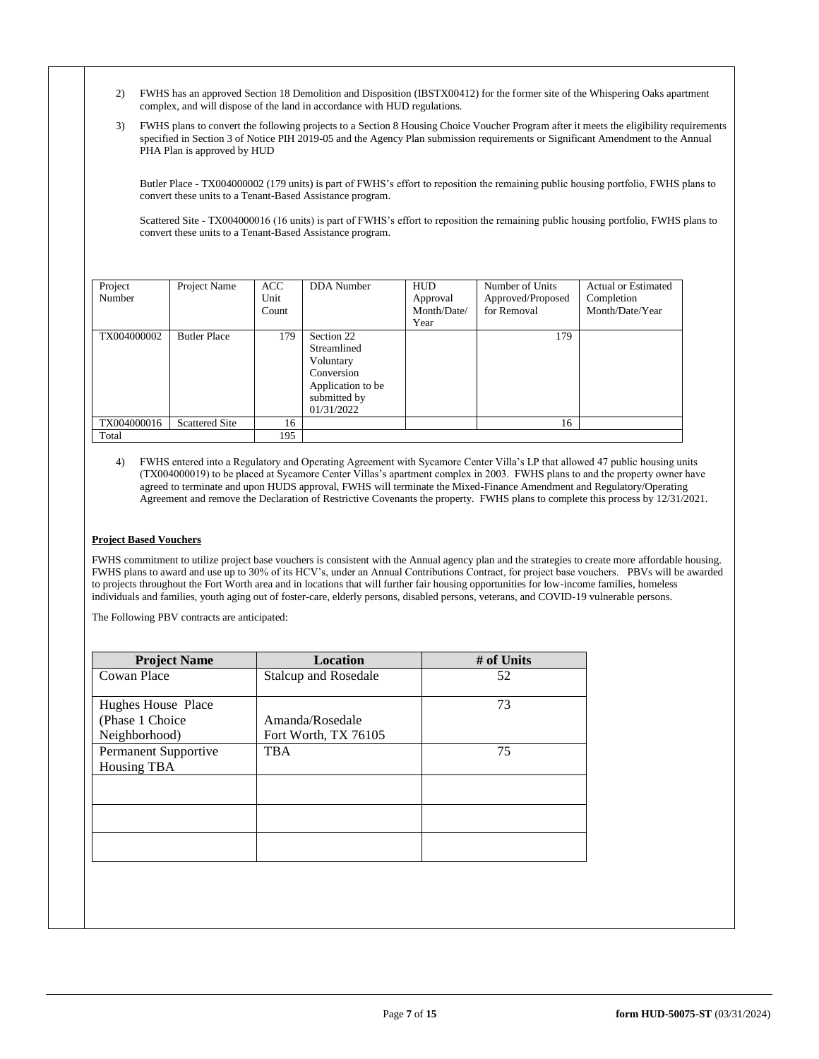- 2) FWHS has an approved Section 18 Demolition and Disposition (IBSTX00412) for the former site of the Whispering Oaks apartment complex, and will dispose of the land in accordance with HUD regulations.
- 3) FWHS plans to convert the following projects to a Section 8 Housing Choice Voucher Program after it meets the eligibility requirements specified in Section 3 of Notice PIH 2019-05 and the Agency Plan submission requirements or Significant Amendment to the Annual PHA Plan is approved by HUD

Butler Place - TX004000002 (179 units) is part of FWHS's effort to reposition the remaining public housing portfolio, FWHS plans to convert these units to a Tenant-Based Assistance program.

Scattered Site - TX004000016 (16 units) is part of FWHS's effort to reposition the remaining public housing portfolio, FWHS plans to convert these units to a Tenant-Based Assistance program.

| Project<br>Number | Project Name          | <b>ACC</b><br>Unit<br>Count | DDA Number                                                                                              | <b>HUD</b><br>Approval<br>Month/Date/<br>Year | Number of Units<br>Approved/Proposed<br>for Removal | <b>Actual or Estimated</b><br>Completion<br>Month/Date/Year |
|-------------------|-----------------------|-----------------------------|---------------------------------------------------------------------------------------------------------|-----------------------------------------------|-----------------------------------------------------|-------------------------------------------------------------|
| TX004000002       | <b>Butler Place</b>   | 179                         | Section 22<br>Streamlined<br>Voluntary<br>Conversion<br>Application to be<br>submitted by<br>01/31/2022 |                                               | 179                                                 |                                                             |
| TX004000016       | <b>Scattered Site</b> | 16                          |                                                                                                         |                                               | 16                                                  |                                                             |
| Total             |                       | 195                         |                                                                                                         |                                               |                                                     |                                                             |

4) FWHS entered into a Regulatory and Operating Agreement with Sycamore Center Villa's LP that allowed 47 public housing units (TX004000019) to be placed at Sycamore Center Villas's apartment complex in 2003. FWHS plans to and the property owner have agreed to terminate and upon HUDS approval, FWHS will terminate the Mixed-Finance Amendment and Regulatory/Operating Agreement and remove the Declaration of Restrictive Covenants the property. FWHS plans to complete this process by 12/31/2021.

# **Project Based Vouchers**

FWHS commitment to utilize project base vouchers is consistent with the Annual agency plan and the strategies to create more affordable housing. FWHS plans to award and use up to 30% of its HCV's, under an Annual Contributions Contract, for project base vouchers. PBVs will be awarded to projects throughout the Fort Worth area and in locations that will further fair housing opportunities for low-income families, homeless individuals and families, youth aging out of foster-care, elderly persons, disabled persons, veterans, and COVID-19 vulnerable persons.

The Following PBV contracts are anticipated:

| <b>Project Name</b>  | Location                    | # of Units |
|----------------------|-----------------------------|------------|
| Cowan Place          | <b>Stalcup and Rosedale</b> | 52         |
|                      |                             |            |
| Hughes House Place   |                             | 73         |
| (Phase 1 Choice)     | Amanda/Rosedale             |            |
| Neighborhood)        | Fort Worth, TX 76105        |            |
| Permanent Supportive | <b>TBA</b>                  | 75         |
| Housing TBA          |                             |            |
|                      |                             |            |
|                      |                             |            |
|                      |                             |            |
|                      |                             |            |
|                      |                             |            |
|                      |                             |            |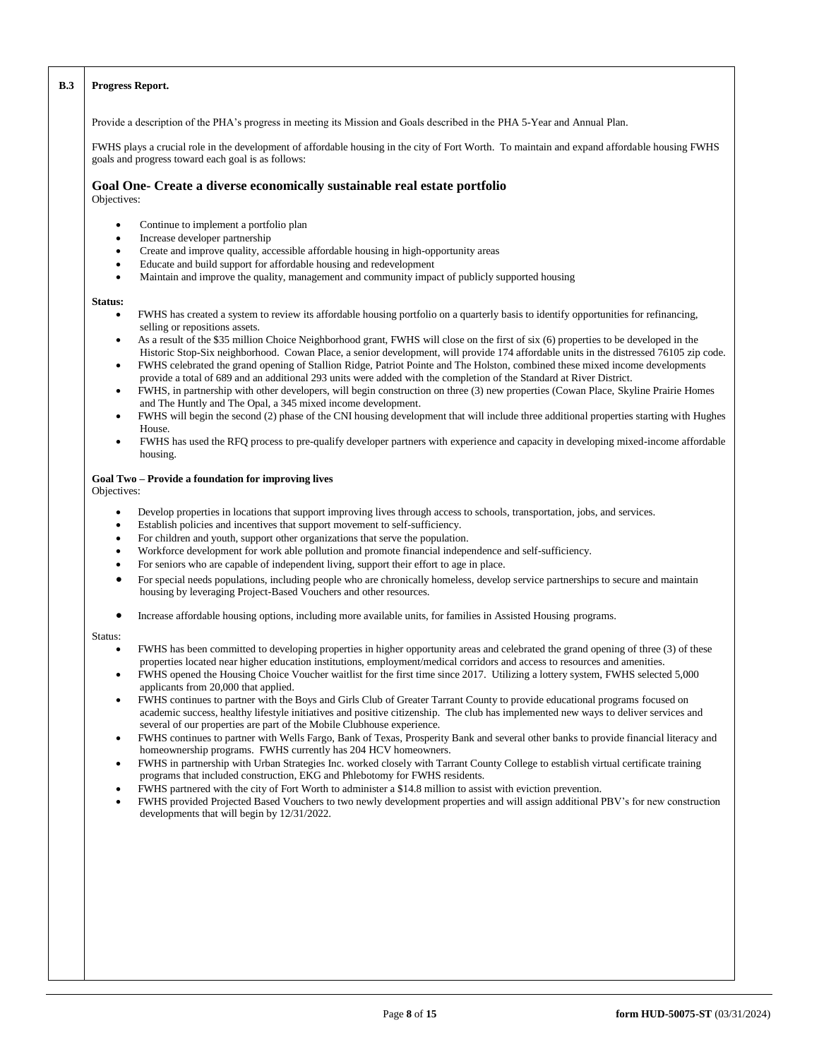## **B.3 Progress Report.**

Provide a description of the PHA's progress in meeting its Mission and Goals described in the PHA 5-Year and Annual Plan.

FWHS plays a crucial role in the development of affordable housing in the city of Fort Worth. To maintain and expand affordable housing FWHS goals and progress toward each goal is as follows:

#### **Goal One- Create a diverse economically sustainable real estate portfolio** Objectives:

- Continue to implement a portfolio plan
- Increase developer partnership
- Create and improve quality, accessible affordable housing in high-opportunity areas
- Educate and build support for affordable housing and redevelopment
- Maintain and improve the quality, management and community impact of publicly supported housing

## **Status:**

- FWHS has created a system to review its affordable housing portfolio on a quarterly basis to identify opportunities for refinancing, selling or repositions assets.
- As a result of the \$35 million Choice Neighborhood grant, FWHS will close on the first of six (6) properties to be developed in the Historic Stop-Six neighborhood. Cowan Place, a senior development, will provide 174 affordable units in the distressed 76105 zip code.
- FWHS celebrated the grand opening of Stallion Ridge, Patriot Pointe and The Holston, combined these mixed income developments provide a total of 689 and an additional 293 units were added with the completion of the Standard at River District.
- FWHS, in partnership with other developers, will begin construction on three (3) new properties (Cowan Place, Skyline Prairie Homes and The Huntly and The Opal, a 345 mixed income development.
- FWHS will begin the second (2) phase of the CNI housing development that will include three additional properties starting with Hughes House.
- FWHS has used the RFQ process to pre-qualify developer partners with experience and capacity in developing mixed-income affordable housing.

## **Goal Two – Provide a foundation for improving lives**

Objectives:

- Develop properties in locations that support improving lives through access to schools, transportation, jobs, and services.
- Establish policies and incentives that support movement to self-sufficiency.
- For children and youth, support other organizations that serve the population.
- Workforce development for work able pollution and promote financial independence and self-sufficiency.
- For seniors who are capable of independent living, support their effort to age in place.
- For special needs populations, including people who are chronically homeless, develop service partnerships to secure and maintain housing by leveraging Project-Based Vouchers and other resources.
- Increase affordable housing options, including more available units, for families in Assisted Housing programs.

#### Status:

- FWHS has been committed to developing properties in higher opportunity areas and celebrated the grand opening of three (3) of these properties located near higher education institutions, employment/medical corridors and access to resources and amenities.
- FWHS opened the Housing Choice Voucher waitlist for the first time since 2017. Utilizing a lottery system, FWHS selected 5,000 applicants from 20,000 that applied.
- FWHS continues to partner with the Boys and Girls Club of Greater Tarrant County to provide educational programs focused on academic success, healthy lifestyle initiatives and positive citizenship. The club has implemented new ways to deliver services and several of our properties are part of the Mobile Clubhouse experience.
- FWHS continues to partner with Wells Fargo, Bank of Texas, Prosperity Bank and several other banks to provide financial literacy and homeownership programs. FWHS currently has 204 HCV homeowners.
- FWHS in partnership with Urban Strategies Inc. worked closely with Tarrant County College to establish virtual certificate training programs that included construction, EKG and Phlebotomy for FWHS residents.
- FWHS partnered with the city of Fort Worth to administer a \$14.8 million to assist with eviction prevention.
- FWHS provided Projected Based Vouchers to two newly development properties and will assign additional PBV's for new construction developments that will begin by 12/31/2022.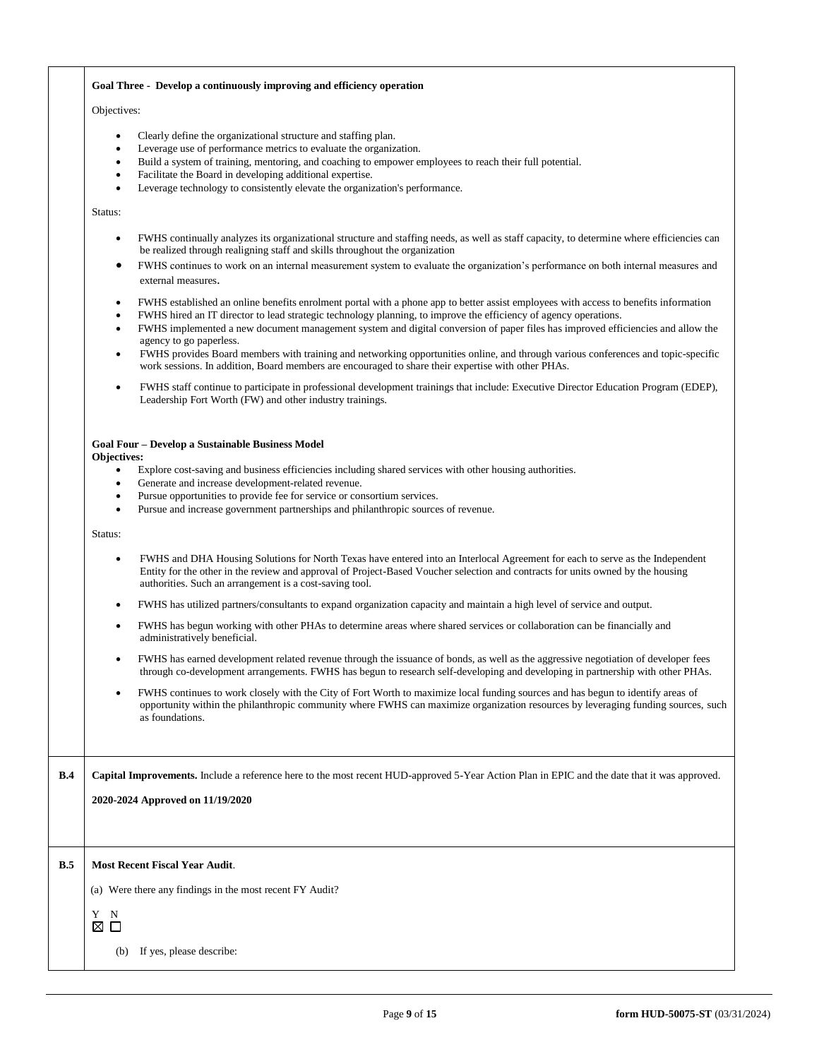#### **Goal Three - Develop a continuously improving and efficiency operation**

#### Objectives:

- Clearly define the organizational structure and staffing plan.
- Leverage use of performance metrics to evaluate the organization.
- Build a system of training, mentoring, and coaching to empower employees to reach their full potential.
- Facilitate the Board in developing additional expertise.
- Leverage technology to consistently elevate the organization's performance.

#### Status:

- FWHS continually analyzes its organizational structure and staffing needs, as well as staff capacity, to determine where efficiencies can be realized through realigning staff and skills throughout the organization
- FWHS continues to work on an internal measurement system to evaluate the organization's performance on both internal measures and external measures.
- FWHS established an online benefits enrolment portal with a phone app to better assist employees with access to benefits information
- FWHS hired an IT director to lead strategic technology planning, to improve the efficiency of agency operations.
- FWHS implemented a new document management system and digital conversion of paper files has improved efficiencies and allow the agency to go paperless.
- FWHS provides Board members with training and networking opportunities online, and through various conferences and topic-specific work sessions. In addition, Board members are encouraged to share their expertise with other PHAs.
- FWHS staff continue to participate in professional development trainings that include: Executive Director Education Program (EDEP), Leadership Fort Worth (FW) and other industry trainings.

## **Goal Four – Develop a Sustainable Business Model**

#### **Objectives:**

- Explore cost-saving and business efficiencies including shared services with other housing authorities.
- Generate and increase development-related revenue.
- Pursue opportunities to provide fee for service or consortium services.
- Pursue and increase government partnerships and philanthropic sources of revenue.

Status:

- FWHS and DHA Housing Solutions for North Texas have entered into an Interlocal Agreement for each to serve as the Independent Entity for the other in the review and approval of Project-Based Voucher selection and contracts for units owned by the housing authorities. Such an arrangement is a cost-saving tool.
- FWHS has utilized partners/consultants to expand organization capacity and maintain a high level of service and output.
- FWHS has begun working with other PHAs to determine areas where shared services or collaboration can be financially and administratively beneficial.
- FWHS has earned development related revenue through the issuance of bonds, as well as the aggressive negotiation of developer fees through co-development arrangements. FWHS has begun to research self-developing and developing in partnership with other PHAs.
- FWHS continues to work closely with the City of Fort Worth to maximize local funding sources and has begun to identify areas of opportunity within the philanthropic community where FWHS can maximize organization resources by leveraging funding sources, such as foundations.

**B.4 Capital Improvements.** Include a reference here to the most recent HUD-approved 5-Year Action Plan in EPIC and the date that it was approved.

**2020-2024 Approved on 11/19/2020**

#### **B.5 Most Recent Fiscal Year Audit**.

(a) Were there any findings in the most recent FY Audit?

Y N  $\boxtimes$   $\square$ 

(b) If yes, please describe: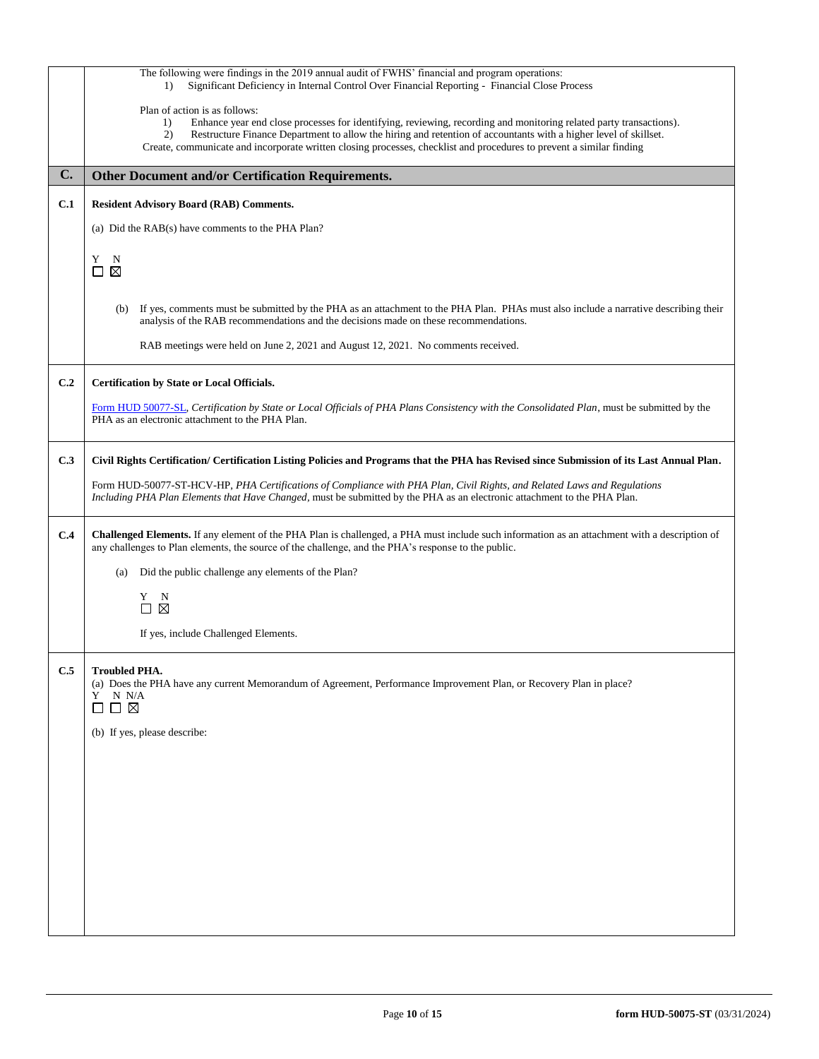|     | The following were findings in the 2019 annual audit of FWHS' financial and program operations:<br>Significant Deficiency in Internal Control Over Financial Reporting - Financial Close Process<br>$\left( \right)$                                                                                                                                                                                        |
|-----|-------------------------------------------------------------------------------------------------------------------------------------------------------------------------------------------------------------------------------------------------------------------------------------------------------------------------------------------------------------------------------------------------------------|
|     | Plan of action is as follows:<br>Enhance year end close processes for identifying, reviewing, recording and monitoring related party transactions).<br>1)<br>Restructure Finance Department to allow the hiring and retention of accountants with a higher level of skillset.<br>2)<br>Create, communicate and incorporate written closing processes, checklist and procedures to prevent a similar finding |
| C.  | <b>Other Document and/or Certification Requirements.</b>                                                                                                                                                                                                                                                                                                                                                    |
| C.1 | <b>Resident Advisory Board (RAB) Comments.</b>                                                                                                                                                                                                                                                                                                                                                              |
|     | (a) Did the RAB(s) have comments to the PHA Plan?                                                                                                                                                                                                                                                                                                                                                           |
|     | Y<br>N<br>$\boxtimes$<br>$\Box$                                                                                                                                                                                                                                                                                                                                                                             |
|     | If yes, comments must be submitted by the PHA as an attachment to the PHA Plan. PHAs must also include a narrative describing their<br>(b)<br>analysis of the RAB recommendations and the decisions made on these recommendations.                                                                                                                                                                          |
|     | RAB meetings were held on June 2, 2021 and August 12, 2021. No comments received.                                                                                                                                                                                                                                                                                                                           |
| C.2 | <b>Certification by State or Local Officials.</b>                                                                                                                                                                                                                                                                                                                                                           |
|     | Form HUD 50077-SL, Certification by State or Local Officials of PHA Plans Consistency with the Consolidated Plan, must be submitted by the<br>PHA as an electronic attachment to the PHA Plan.                                                                                                                                                                                                              |
| C.3 | Civil Rights Certification/ Certification Listing Policies and Programs that the PHA has Revised since Submission of its Last Annual Plan.                                                                                                                                                                                                                                                                  |
|     | Form HUD-50077-ST-HCV-HP, PHA Certifications of Compliance with PHA Plan, Civil Rights, and Related Laws and Regulations<br>Including PHA Plan Elements that Have Changed, must be submitted by the PHA as an electronic attachment to the PHA Plan.                                                                                                                                                        |
| C.4 | Challenged Elements. If any element of the PHA Plan is challenged, a PHA must include such information as an attachment with a description of<br>any challenges to Plan elements, the source of the challenge, and the PHA's response to the public.                                                                                                                                                        |
|     | Did the public challenge any elements of the Plan?<br>(a)                                                                                                                                                                                                                                                                                                                                                   |
|     | Y<br>N<br>$\boxtimes$<br>П                                                                                                                                                                                                                                                                                                                                                                                  |
|     |                                                                                                                                                                                                                                                                                                                                                                                                             |
|     | If yes, include Challenged Elements.                                                                                                                                                                                                                                                                                                                                                                        |
| C.5 | <b>Troubled PHA.</b><br>(a) Does the PHA have any current Memorandum of Agreement, Performance Improvement Plan, or Recovery Plan in place?<br>Y<br>N N/A<br>$\square \square \boxtimes$                                                                                                                                                                                                                    |
|     | (b) If yes, please describe:                                                                                                                                                                                                                                                                                                                                                                                |
|     |                                                                                                                                                                                                                                                                                                                                                                                                             |
|     |                                                                                                                                                                                                                                                                                                                                                                                                             |
|     |                                                                                                                                                                                                                                                                                                                                                                                                             |
|     |                                                                                                                                                                                                                                                                                                                                                                                                             |
|     |                                                                                                                                                                                                                                                                                                                                                                                                             |
|     |                                                                                                                                                                                                                                                                                                                                                                                                             |
|     |                                                                                                                                                                                                                                                                                                                                                                                                             |
|     |                                                                                                                                                                                                                                                                                                                                                                                                             |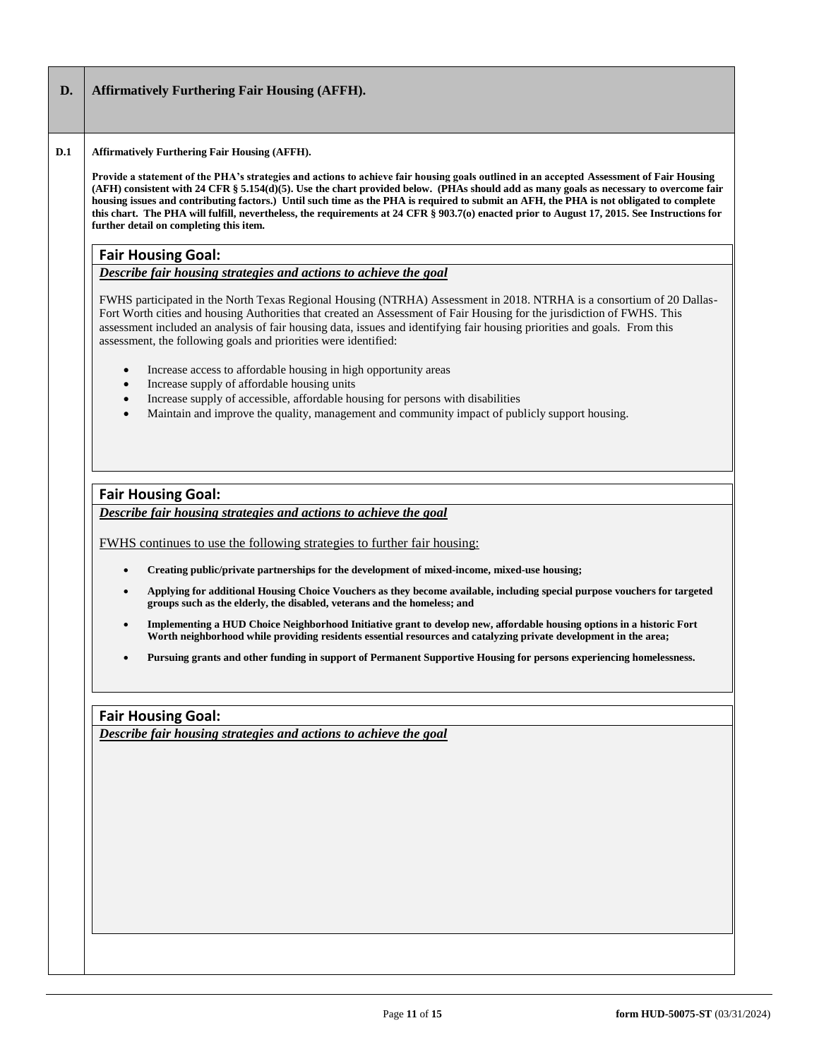# **D. Affirmatively Furthering Fair Housing (AFFH).**

#### **D.1 Affirmatively Furthering Fair Housing (AFFH).**

**Provide a statement of the PHA's strategies and actions to achieve fair housing goals outlined in an accepted Assessment of Fair Housing (AFH) consistent with 24 CFR § 5.154(d)(5). Use the chart provided below. (PHAs should add as many goals as necessary to overcome fair housing issues and contributing factors.) Until such time as the PHA is required to submit an AFH, the PHA is not obligated to complete this chart. The PHA will fulfill, nevertheless, the requirements at 24 CFR § 903.7(o) enacted prior to August 17, 2015. See Instructions for further detail on completing this item.** 

# **Fair Housing Goal:**

# *Describe fair housing strategies and actions to achieve the goal*

FWHS participated in the North Texas Regional Housing (NTRHA) Assessment in 2018. NTRHA is a consortium of 20 Dallas-Fort Worth cities and housing Authorities that created an Assessment of Fair Housing for the jurisdiction of FWHS. This assessment included an analysis of fair housing data, issues and identifying fair housing priorities and goals. From this assessment, the following goals and priorities were identified:

- Increase access to affordable housing in high opportunity areas
- Increase supply of affordable housing units
- Increase supply of accessible, affordable housing for persons with disabilities
- Maintain and improve the quality, management and community impact of publicly support housing.

# **Fair Housing Goal:**

*Describe fair housing strategies and actions to achieve the goal*

FWHS continues to use the following strategies to further fair housing:

- **Creating public/private partnerships for the development of mixed-income, mixed-use housing;**
- **Applying for additional Housing Choice Vouchers as they become available, including special purpose vouchers for targeted groups such as the elderly, the disabled, veterans and the homeless; and**
- **Implementing a HUD Choice Neighborhood Initiative grant to develop new, affordable housing options in a historic Fort Worth neighborhood while providing residents essential resources and catalyzing private development in the area;**
- **Pursuing grants and other funding in support of Permanent Supportive Housing for persons experiencing homelessness.**

# **Fair Housing Goal:**

*Describe fair housing strategies and actions to achieve the goal*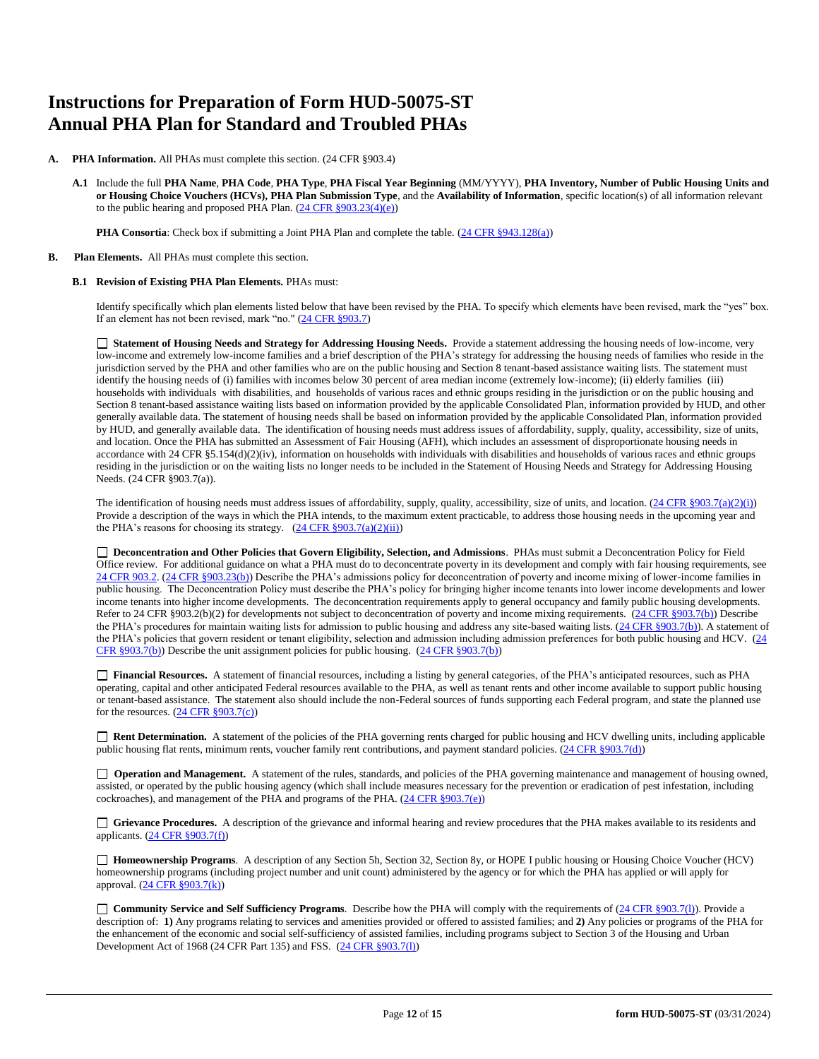# **Instructions for Preparation of Form HUD-50075-ST Annual PHA Plan for Standard and Troubled PHAs**

- **PHA Information.** All PHAs must complete this section. (24 CFR §903.4)
	- **A.1** Include the full **PHA Name**, **PHA Code**, **PHA Type**, **PHA Fiscal Year Beginning** (MM/YYYY), **PHA Inventory, Number of Public Housing Units and or Housing Choice Vouchers (HCVs), PHA Plan Submission Type**, and the **Availability of Information**, specific location(s) of all information relevant to the public hearing and proposed PHA Plan. [\(24 CFR §903.23\(4\)\(e\)\)](http://ecfr.gpoaccess.gov/cgi/t/text/text-idx?c=ecfr&sid=13734845220744370804c20da2294a03&rgn=div5&view=text&node=24:4.0.3.1.3&idno=24#24:4.0.3.1.3.2.5.14)

**PHA Consortia**: Check box if submitting a Joint PHA Plan and complete the table. [\(24 CFR §943.128\(a\)\)](http://ecfr.gpoaccess.gov/cgi/t/text/text-idx?c=ecfr&sid=cc31cf1c3a2b84ba4ead75d35d258f67&rgn=div5&view=text&node=24:4.0.3.1.10&idno=24#24:4.0.3.1.10.2.5.7)

**B. Plan Elements.** All PHAs must complete this section.

#### **B.1 Revision of Existing PHA Plan Elements.** PHAs must:

Identify specifically which plan elements listed below that have been revised by the PHA. To specify which elements have been revised, mark the "yes" box. If an element has not been revised, mark "no." [\(24 CFR §903.7\)](http://ecfr.gpoaccess.gov/cgi/t/text/text-idx?c=ecfr&sid=13734845220744370804c20da2294a03&rgn=div5&view=text&node=24:4.0.3.1.3&idno=24#24:4.0.3.1.3.2.5.5)

 **Statement of Housing Needs and Strategy for Addressing Housing Needs.** Provide a statement addressing the housing needs of low-income, very low-income and extremely low-income families and a brief description of the PHA's strategy for addressing the housing needs of families who reside in the jurisdiction served by the PHA and other families who are on the public housing and Section 8 tenant-based assistance waiting lists. The statement must identify the housing needs of (i) families with incomes below 30 percent of area median income (extremely low-income); (ii) elderly families (iii) households with individuals with disabilities, and households of various races and ethnic groups residing in the jurisdiction or on the public housing and Section 8 tenant-based assistance waiting lists based on information provided by the applicable Consolidated Plan, information provided by HUD, and other generally available data. The statement of housing needs shall be based on information provided by the applicable Consolidated Plan, information provided by HUD, and generally available data. The identification of housing needs must address issues of affordability, supply, quality, accessibility, size of units, and location. Once the PHA has submitted an Assessment of Fair Housing (AFH), which includes an assessment of disproportionate housing needs in accordance with 24 CFR §5.154(d)(2)(iv), information on households with individuals with disabilities and households of various races and ethnic groups residing in the jurisdiction or on the waiting lists no longer needs to be included in the Statement of Housing Needs and Strategy for Addressing Housing Needs. (24 CFR §903.7(a)).

The identification of housing needs must address issues of affordability, supply, quality, accessibility, size of units, and location.  $(24 \text{ CFR } \text{§}903.7(a)(2)(i))$ Provide a description of the ways in which the PHA intends, to the maximum extent practicable, to address those housing needs in the upcoming year and the PHA's reasons for choosing its strategy.  $(24 \text{ CFR } \S 903.7(a)(2)(ii))$ 

 **Deconcentration and Other Policies that Govern Eligibility, Selection, and Admissions**. PHAs must submit a Deconcentration Policy for Field Office review. For additional guidance on what a PHA must do to deconcentrate poverty in its development and comply with fair housing requirements, see [24 CFR 903.2.](http://ecfr.gpoaccess.gov/cgi/t/text/text-idx?c=ecfr&sid=31b6a8e6f1110b36cc115eb6e4d5e3b4&rgn=div5&view=text&node=24:4.0.3.1.3&idno=24#24:4.0.3.1.3.1.5.2) [\(24 CFR §903.23\(b\)\)](http://ecfr.gpoaccess.gov/cgi/t/text/text-idx?c=ecfr&sid=13734845220744370804c20da2294a03&rgn=div5&view=text&node=24:4.0.3.1.3&idno=24#24:4.0.3.1.3.2.5.9) Describe the PHA's admissions policy for deconcentration of poverty and income mixing of lower-income families in public housing. The Deconcentration Policy must describe the PHA's policy for bringing higher income tenants into lower income developments and lower income tenants into higher income developments. The deconcentration requirements apply to general occupancy and family public housing developments. Refer to 24 CFR §903.2(b)(2) for developments not subject to deconcentration of poverty and income mixing requirements. [\(24 CFR §903.7\(b\)\)](http://ecfr.gpoaccess.gov/cgi/t/text/text-idx?c=ecfr&sid=b44bf19bef93dd31287608d2c687e271&rgn=div5&view=text&node=24:4.0.3.1.3&idno=24#24:4.0.3.1.3.2.5.5) Describe the PHA's procedures for maintain waiting lists for admission to public housing and address any site-based waiting lists. [\(24 CFR §903.7\(b\)\)](http://ecfr.gpoaccess.gov/cgi/t/text/text-idx?c=ecfr&sid=b44bf19bef93dd31287608d2c687e271&rgn=div5&view=text&node=24:4.0.3.1.3&idno=24#24:4.0.3.1.3.2.5.5). A statement of the PHA's policies that govern resident or tenant eligibility, selection and admission including admission preferences for both public housing and HCV. (24) [CFR §903.7\(b\)\)](http://ecfr.gpoaccess.gov/cgi/t/text/text-idx?c=ecfr&sid=b44bf19bef93dd31287608d2c687e271&rgn=div5&view=text&node=24:4.0.3.1.3&idno=24#24:4.0.3.1.3.2.5.5) Describe the unit assignment policies for public housing.  $(24 \text{ CFR}$  §903.7(b))

 **Financial Resources.** A statement of financial resources, including a listing by general categories, of the PHA's anticipated resources, such as PHA operating, capital and other anticipated Federal resources available to the PHA, as well as tenant rents and other income available to support public housing or tenant-based assistance. The statement also should include the non-Federal sources of funds supporting each Federal program, and state the planned use for the resources.  $(24 \text{ CFR } \frac{§903.7(c)}{e})$ 

■ **Rent Determination.** A statement of the policies of the PHA governing rents charged for public housing and HCV dwelling units, including applicable public housing flat rents, minimum rents, voucher family rent contributions, and payment standard policies. [\(24 CFR §903.7\(d\)\)](http://ecfr.gpoaccess.gov/cgi/t/text/text-idx?c=ecfr&sid=b44bf19bef93dd31287608d2c687e271&rgn=div5&view=text&node=24:4.0.3.1.3&idno=24#24:4.0.3.1.3.2.5.5)

□ **Operation and Management.** A statement of the rules, standards, and policies of the PHA governing maintenance and management of housing owned, assisted, or operated by the public housing agency (which shall include measures necessary for the prevention or eradication of pest infestation, including cockroaches), and management of the PHA and programs of the PHA. [\(24 CFR §903.7\(e\)\)](http://ecfr.gpoaccess.gov/cgi/t/text/text-idx?c=ecfr&sid=b44bf19bef93dd31287608d2c687e271&rgn=div5&view=text&node=24:4.0.3.1.3&idno=24#24:4.0.3.1.3.2.5.5)

 **Grievance Procedures.** A description of the grievance and informal hearing and review procedures that the PHA makes available to its residents and applicants. [\(24 CFR §903.7\(f\)\)](http://ecfr.gpoaccess.gov/cgi/t/text/text-idx?c=ecfr&sid=b44bf19bef93dd31287608d2c687e271&rgn=div5&view=text&node=24:4.0.3.1.3&idno=24#24:4.0.3.1.3.2.5.5)

 **Homeownership Programs**. A description of any Section 5h, Section 32, Section 8y, or HOPE I public housing or Housing Choice Voucher (HCV) homeownership programs (including project number and unit count) administered by the agency or for which the PHA has applied or will apply for approval. [\(24 CFR §903.7\(k\)\)](http://ecfr.gpoaccess.gov/cgi/t/text/text-idx?c=ecfr&sid=b44bf19bef93dd31287608d2c687e271&rgn=div5&view=text&node=24:4.0.3.1.3&idno=24#24:4.0.3.1.3.2.5.5)

□ **Community Service and Self Sufficiency Programs**. Describe how the PHA will comply with the requirements of (24 CFR §903.7(1)). Provide a description of: **1)** Any programs relating to services and amenities provided or offered to assisted families; and **2)** Any policies or programs of the PHA for the enhancement of the economic and social self-sufficiency of assisted families, including programs subject to Section 3 of the Housing and Urban Development Act of 1968 (24 CFR Part 135) and FSS. [\(24 CFR §903.7\(l\)\)](http://ecfr.gpoaccess.gov/cgi/t/text/text-idx?c=ecfr&sid=b44bf19bef93dd31287608d2c687e271&rgn=div5&view=text&node=24:4.0.3.1.3&idno=24#24:4.0.3.1.3.2.5.5)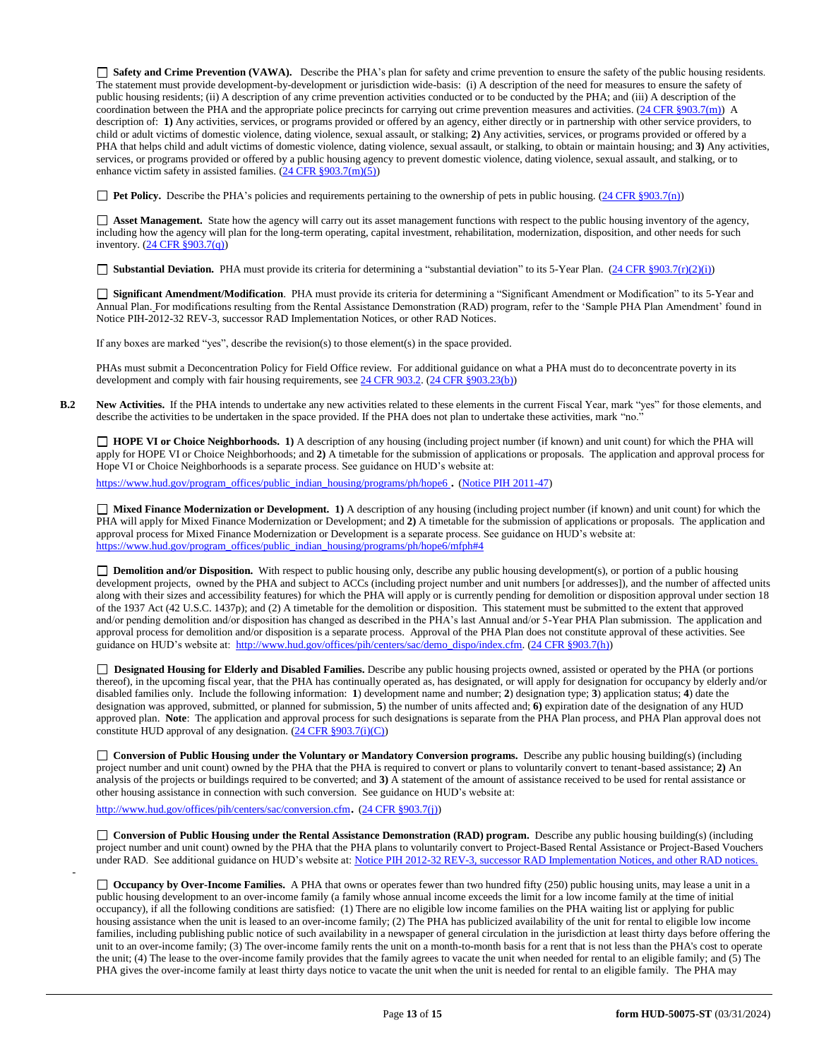**Safety and Crime Prevention (VAWA).** Describe the PHA's plan for safety and crime prevention to ensure the safety of the public housing residents. The statement must provide development-by-development or jurisdiction wide-basis: (i) A description of the need for measures to ensure the safety of public housing residents; (ii) A description of any crime prevention activities conducted or to be conducted by the PHA; and (iii) A description of the coordination between the PHA and the appropriate police precincts for carrying out crime prevention measures and activities. [\(24 CFR §903.7\(m\)\)](http://ecfr.gpoaccess.gov/cgi/t/text/text-idx?c=ecfr&sid=13734845220744370804c20da2294a03&rgn=div5&view=text&node=24:4.0.3.1.3&idno=24#24:4.0.3.1.3.2.5.5) A description of: **1)** Any activities, services, or programs provided or offered by an agency, either directly or in partnership with other service providers, to child or adult victims of domestic violence, dating violence, sexual assault, or stalking; **2)** Any activities, services, or programs provided or offered by a PHA that helps child and adult victims of domestic violence, dating violence, sexual assault, or stalking, to obtain or maintain housing; and **3)** Any activities, services, or programs provided or offered by a public housing agency to prevent domestic violence, dating violence, sexual assault, and stalking, or to enhance victim safety in assisted families.  $(24 \overline{CFR} \frac{§903.7(m)(5)}{s})$ 

**Pet Policy.** Describe the PHA's policies and requirements pertaining to the ownership of pets in public housing. [\(24 CFR §903.7\(n\)\)](http://ecfr.gpoaccess.gov/cgi/t/text/text-idx?c=ecfr&sid=13734845220744370804c20da2294a03&rgn=div5&view=text&node=24:4.0.3.1.3&idno=24#24:4.0.3.1.3.2.5.5)

 **Asset Management.** State how the agency will carry out its asset management functions with respect to the public housing inventory of the agency, including how the agency will plan for the long-term operating, capital investment, rehabilitation, modernization, disposition, and other needs for such inventory. [\(24 CFR §903.7\(q\)\)](http://ecfr.gpoaccess.gov/cgi/t/text/text-idx?c=ecfr&sid=13734845220744370804c20da2294a03&rgn=div5&view=text&node=24:4.0.3.1.3&idno=24#24:4.0.3.1.3.2.5.5)

■ **Substantial Deviation.** PHA must provide its criteria for determining a "substantial deviation" to its 5-Year Plan. [\(24 CFR §903.7\(r\)\(2\)\(i\)\)](http://ecfr.gpoaccess.gov/cgi/t/text/text-idx?c=ecfr&sid=13734845220744370804c20da2294a03&rgn=div5&view=text&node=24:4.0.3.1.3&idno=24#24:4.0.3.1.3.2.5.5)

 **Significant Amendment/Modification**. PHA must provide its criteria for determining a "Significant Amendment or Modification" to its 5-Year and Annual Plan. For modifications resulting from the Rental Assistance Demonstration (RAD) program, refer to the 'Sample PHA Plan Amendment' found in Notice PIH-2012-32 REV-3, successor RAD Implementation Notices, or other RAD Notices.

If any boxes are marked "yes", describe the revision(s) to those element(s) in the space provided.

PHAs must submit a Deconcentration Policy for Field Office review. For additional guidance on what a PHA must do to deconcentrate poverty in its development and comply with fair housing requirements, se[e 24 CFR 903.2.](http://ecfr.gpoaccess.gov/cgi/t/text/text-idx?c=ecfr&sid=31b6a8e6f1110b36cc115eb6e4d5e3b4&rgn=div5&view=text&node=24:4.0.3.1.3&idno=24#24:4.0.3.1.3.1.5.2) [\(24 CFR §903.23\(b\)\)](http://ecfr.gpoaccess.gov/cgi/t/text/text-idx?c=ecfr&sid=13734845220744370804c20da2294a03&rgn=div5&view=text&node=24:4.0.3.1.3&idno=24#24:4.0.3.1.3.2.5.9)

**B.2 New Activities.** If the PHA intends to undertake any new activities related to these elements in the current Fiscal Year, mark "yes" for those elements, and describe the activities to be undertaken in the space provided. If the PHA does not plan to undertake these activities, mark "no."

 **HOPE VI or Choice Neighborhoods. 1)** A description of any housing (including project number (if known) and unit count) for which the PHA will apply for HOPE VI or Choice Neighborhoods; and **2)** A timetable for the submission of applications or proposals. The application and approval process for Hope VI or Choice Neighborhoods is a separate process. See guidance on HUD's website at:

[https://www.hud.gov/program\\_offices/public\\_indian\\_housing/programs/ph/hope6](https://www.hud.gov/program_offices/public_indian_housing/programs/ph/hope6) . [\(Notice PIH 2011-47\)](http://www.hud.gov/offices/adm/hudclips/notices/pih/07pihnotices.cfm)

 **Mixed Finance Modernization or Development. 1)** A description of any housing (including project number (if known) and unit count) for which the PHA will apply for Mixed Finance Modernization or Development; and **2)** A timetable for the submission of applications or proposals. The application and approval process for Mixed Finance Modernization or Development is a separate process. See guidance on HUD's website at: [https://www.hud.gov/program\\_offices/public\\_indian\\_housing/programs/ph/hope6/mfph#4](https://www.hud.gov/program_offices/public_indian_housing/programs/ph/hope6/mfph#4)

□ **Demolition and/or Disposition.** With respect to public housing only, describe any public housing development(s), or portion of a public housing development projects, owned by the PHA and subject to ACCs (including project number and unit numbers [or addresses]), and the number of affected units along with their sizes and accessibility features) for which the PHA will apply or is currently pending for demolition or disposition approval under section 18 of the 1937 Act (42 U.S.C. 1437p); and (2) A timetable for the demolition or disposition. This statement must be submitted to the extent that approved and/or pending demolition and/or disposition has changed as described in the PHA's last Annual and/or 5-Year PHA Plan submission. The application and approval process for demolition and/or disposition is a separate process. Approval of the PHA Plan does not constitute approval of these activities. See guidance on HUD's website at: [http://www.hud.gov/offices/pih/centers/sac/demo\\_dispo/index.cfm.](http://www.hud.gov/offices/pih/centers/sac/demo_dispo/index.cfm) [\(24 CFR §903.7\(h\)\)](http://ecfr.gpoaccess.gov/cgi/t/text/text-idx?c=ecfr&sid=13734845220744370804c20da2294a03&rgn=div5&view=text&node=24:4.0.3.1.3&idno=24#24:4.0.3.1.3.2.5.5)

**Designated Housing for Elderly and Disabled Families.** Describe any public housing projects owned, assisted or operated by the PHA (or portions thereof), in the upcoming fiscal year, that the PHA has continually operated as, has designated, or will apply for designation for occupancy by elderly and/or disabled families only. Include the following information: **1**) development name and number; **2**) designation type; **3**) application status; **4**) date the designation was approved, submitted, or planned for submission, **5**) the number of units affected and; **6)** expiration date of the designation of any HUD approved plan. **Note**: The application and approval process for such designations is separate from the PHA Plan process, and PHA Plan approval does not constitute HUD approval of any designation.  $(24 \text{ CFR } \text{\textless} 903.7(i)(C))$ 

**Conversion of Public Housing under the Voluntary or Mandatory Conversion programs.** Describe any public housing building(s) (including project number and unit count) owned by the PHA that the PHA is required to convert or plans to voluntarily convert to tenant-based assistance; **2)** An analysis of the projects or buildings required to be converted; and **3)** A statement of the amount of assistance received to be used for rental assistance or other housing assistance in connection with such conversion. See guidance on HUD's website at:

<http://www.hud.gov/offices/pih/centers/sac/conversion.cfm>. [\(24 CFR §903.7\(j\)\)](http://ecfr.gpoaccess.gov/cgi/t/text/text-idx?c=ecfr&sid=13734845220744370804c20da2294a03&rgn=div5&view=text&node=24:4.0.3.1.3&idno=24#24:4.0.3.1.3.2.5.5)

-

**Conversion of Public Housing under the Rental Assistance Demonstration (RAD) program.** Describe any public housing building(s) (including project number and unit count) owned by the PHA that the PHA plans to voluntarily convert to Project-Based Rental Assistance or Project-Based Vouchers under RAD. See additional guidance on HUD's website at: [Notice PIH 2012-32](http://portal.hud.gov/hudportal/HUD?src=/program_offices/administration/hudclips/notices/pih/12pihnotices) REV-3, successor RAD Implementation Notices, and other RAD notices

**Occupancy by Over-Income Families.** A PHA that owns or operates fewer than two hundred fifty (250) public housing units, may lease a unit in a public housing development to an over-income family (a family whose annual income exceeds the limit for a low income family at the time of initial occupancy), if all the following conditions are satisfied: (1) There are no eligible low income families on the PHA waiting list or applying for public housing assistance when the unit is leased to an over-income family; (2) The PHA has publicized availability of the unit for rental to eligible low income families, including publishing public notice of such availability in a newspaper of general circulation in the jurisdiction at least thirty days before offering the unit to an over-income family; (3) The over-income family rents the unit on a month-to-month basis for a rent that is not less than the PHA's cost to operate the unit; (4) The lease to the over-income family provides that the family agrees to vacate the unit when needed for rental to an eligible family; and (5) The PHA gives the over-income family at least thirty days notice to vacate the unit when the unit is needed for rental to an eligible family. The PHA may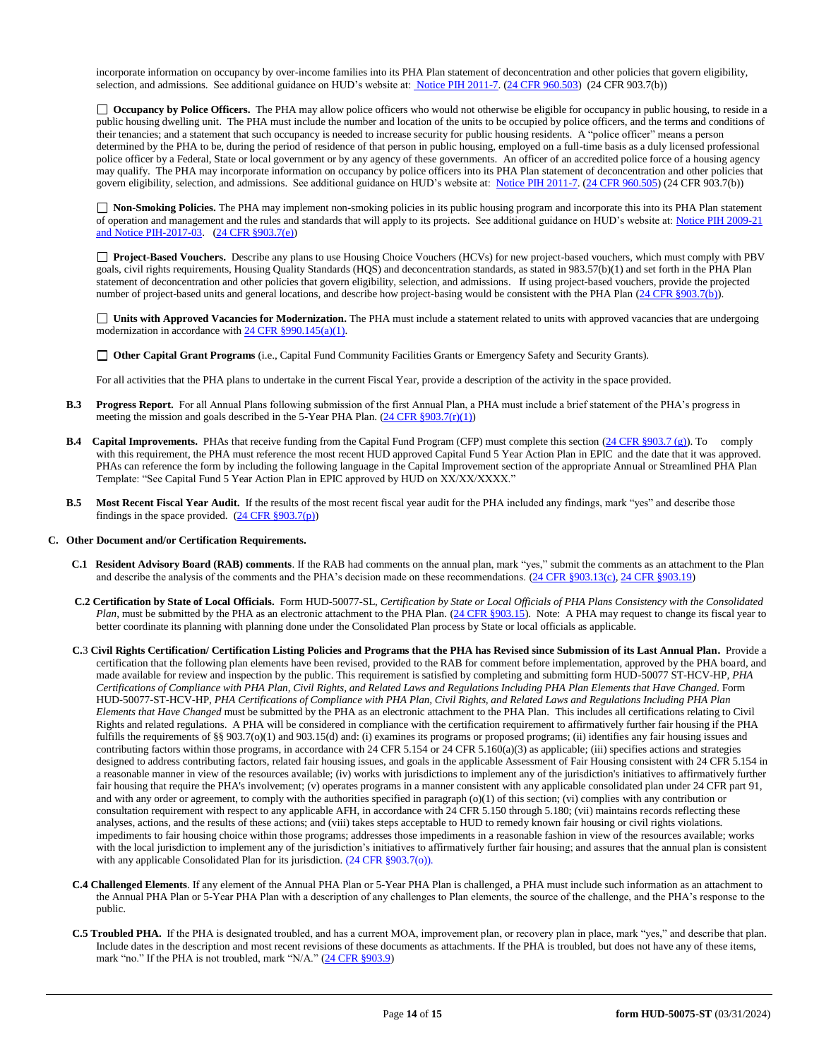incorporate information on occupancy by over-income families into its PHA Plan statement of deconcentration and other policies that govern eligibility, selection, and admissions. See additional guidance on HUD's website at[: Notice PIH 2011-7.](http://portal.hud.gov/hudportal/HUD?src=/program_offices/administration/hudclips/notices/pih) [\(24 CFR 960.503\)](http://ecfr.gpoaccess.gov/cgi/t/text/text-idx?c=ecfr&sid=fa64c7c83a160f7c42da881396459a31&rgn=div5&view=text&node=24:4.0.3.1.13&idno=24#24:4.0.3.1.13.5.5.1) (24 CFR 903.7(b))

□ **Occupancy by Police Officers.** The PHA may allow police officers who would not otherwise be eligible for occupancy in public housing, to reside in a public housing dwelling unit. The PHA must include the number and location of the units to be occupied by police officers, and the terms and conditions of their tenancies; and a statement that such occupancy is needed to increase security for public housing residents. A "police officer" means a person determined by the PHA to be, during the period of residence of that person in public housing, employed on a full-time basis as a duly licensed professional police officer by a Federal, State or local government or by any agency of these governments. An officer of an accredited police force of a housing agency may qualify. The PHA may incorporate information on occupancy by police officers into its PHA Plan statement of deconcentration and other policies that govern eligibility, selection, and admissions. See additional guidance on HUD's website at: [Notice PIH 2011-7.](http://portal.hud.gov/hudportal/HUD?src=/program_offices/administration/hudclips/notices/pih) [\(24 CFR 960.505\)](http://ecfr.gpoaccess.gov/cgi/t/text/text-idx?c=ecfr&sid=fa64c7c83a160f7c42da881396459a31&rgn=div5&view=text&node=24:4.0.3.1.13&idno=24#24:4.0.3.1.13.5.5.2) (24 CFR 903.7(b))

 **Non-Smoking Policies.** The PHA may implement non-smoking policies in its public housing program and incorporate this into its PHA Plan statement of operation and management and the rules and standards that will apply to its projects. See additional guidance on HUD's website at[: Notice PIH 2009-21](http://portal.hud.gov/hudportal/HUD?src=/program_offices/administration/hudclips/notices/pih/09pihnotices) and Notice PIH-2017-03. [\(24 CFR §903.7\(e\)\)](http://ecfr.gpoaccess.gov/cgi/t/text/text-idx?c=ecfr&sid=b44bf19bef93dd31287608d2c687e271&rgn=div5&view=text&node=24:4.0.3.1.3&idno=24#24:4.0.3.1.3.2.5.5)

**Project-Based Vouchers.** Describe any plans to use Housing Choice Vouchers (HCVs) for new project-based vouchers, which must comply with PBV goals, civil rights requirements, Housing Quality Standards (HQS) and deconcentration standards, as stated in 983.57(b)(1) and set forth in the PHA Plan statement of deconcentration and other policies that govern eligibility, selection, and admissions. If using project-based vouchers, provide the projected number of project-based units and general locations, and describe how project-basing would be consistent with the PHA Plan [\(24 CFR §903.7\(b\)\)](http://ecfr.gpoaccess.gov/cgi/t/text/text-idx?c=ecfr&sid=b44bf19bef93dd31287608d2c687e271&rgn=div5&view=text&node=24:4.0.3.1.3&idno=24#24:4.0.3.1.3.2.5.5).

 **Units with Approved Vacancies for Modernization.** The PHA must include a statement related to units with approved vacancies that are undergoing modernization in accordance wit[h 24 CFR §990.145\(a\)\(1\).](http://www.ecfr.gov/cgi-bin/retrieveECFR?gp=1&SID=861f819542172e8e9912b8c1348ee120&ty=HTML&h=L&n=24y4.0.3.1.23&r=PART)

**Other Capital Grant Programs** (i.e., Capital Fund Community Facilities Grants or Emergency Safety and Security Grants).

For all activities that the PHA plans to undertake in the current Fiscal Year, provide a description of the activity in the space provided.

- **B.3 Progress Report.** For all Annual Plans following submission of the first Annual Plan, a PHA must include a brief statement of the PHA's progress in meeting the mission and goals described in the 5-Year PHA Plan.  $(24 \text{ CFR } \text{\textless} 903.7(\text{r})(1))$
- **B.4 Capital Improvements.** PHAs that receive funding from the Capital Fund Program (CFP) must complete this section [\(24 CFR §903.7 \(g\)\)](http://ecfr.gpoaccess.gov/cgi/t/text/text-idx?c=ecfr&sid=0885bb33f96a064e6519e07d66d87fd6&rgn=div5&view=text&node=24:4.0.3.1.3&idno=24#24:4.0.3.1.3.2.5.5). To comply with this requirement, the PHA must reference the most recent HUD approved Capital Fund 5 Year Action Plan in EPIC and the date that it was approved. PHAs can reference the form by including the following language in the Capital Improvement section of the appropriate Annual or Streamlined PHA Plan Template: "See Capital Fund 5 Year Action Plan in EPIC approved by HUD on XX/XX/XXXX."
- **B.5 Most Recent Fiscal Year Audit.** If the results of the most recent fiscal year audit for the PHA included any findings, mark "yes" and describe those findings in the space provided.  $(24 \text{ CFR } \S 903.7(p))$

#### **C. Other Document and/or Certification Requirements.**

- **C.1 Resident Advisory Board (RAB) comments**. If the RAB had comments on the annual plan, mark "yes," submit the comments as an attachment to the Plan and describe the analysis of the comments and the PHA's decision made on these recommendations. [\(24 CFR §903.13\(c\),](http://ecfr.gpoaccess.gov/cgi/t/text/text-idx?c=ecfr&sid=13734845220744370804c20da2294a03&rgn=div5&view=text&node=24:4.0.3.1.3&idno=24#24:4.0.3.1.3.2.5.9) [24 CFR §903.19\)](http://ecfr.gpoaccess.gov/cgi/t/text/text-idx?c=ecfr&sid=f41eb312b1425d2a95a2478fde61e11f&rgn=div5&view=text&node=24:4.0.3.1.3&idno=24#24:4.0.3.1.3.2.5.12)
- **C.2 Certification by State of Local Officials.** Form HUD-50077-SL, *Certification by State or Local Officials of PHA Plans Consistency with the Consolidated Plan*, must be submitted by the PHA as an electronic attachment to the PHA Plan. [\(24 CFR §903.15\)](http://ecfr.gpoaccess.gov/cgi/t/text/text-idx?c=ecfr&sid=929855241bbc0873ac4be47579a4d2bf&rgn=div5&view=text&node=24:4.0.3.1.3&idno=24#24:4.0.3.1.3.2.5.10). Note: A PHA may request to change its fiscal year to better coordinate its planning with planning done under the Consolidated Plan process by State or local officials as applicable.
- **C.**3 **Civil Rights Certification/ Certification Listing Policies and Programs that the PHA has Revised since Submission of its Last Annual Plan.** Provide a certification that the following plan elements have been revised, provided to the RAB for comment before implementation, approved by the PHA board, and made available for review and inspection by the public. This requirement is satisfied by completing and submitting form HUD-50077 ST-HCV-HP, *PHA Certifications of Compliance with PHA Plan, Civil Rights, and Related Laws and Regulations Including PHA Plan Elements that Have Changed*. Form HUD-50077-ST-HCV-HP, *PHA Certifications of Compliance with PHA Plan, Civil Rights, and Related Laws and Regulations Including PHA Plan Elements that Have Changed* must be submitted by the PHA as an electronic attachment to the PHA Plan. This includes all certifications relating to Civil Rights and related regulations. A PHA will be considered in compliance with the certification requirement to affirmatively further fair housing if the PHA fulfills the requirements of §§ 903.7(o)(1) and 903.15(d) and: (i) examines its programs or proposed programs; (ii) identifies any fair housing issues and contributing factors within those programs, in accordance with 24 CFR 5.154 or 24 CFR 5.160(a)(3) as applicable; (iii) specifies actions and strategies designed to address contributing factors, related fair housing issues, and goals in the applicable Assessment of Fair Housing consistent with 24 CFR 5.154 in a reasonable manner in view of the resources available; (iv) works with jurisdictions to implement any of the jurisdiction's initiatives to affirmatively further fair housing that require the PHA's involvement; (v) operates programs in a manner consistent with any applicable consolidated plan under 24 CFR part 91, and with any order or agreement, to comply with the authorities specified in paragraph  $(o)(1)$  of this section; (vi) complies with any contribution or consultation requirement with respect to any applicable AFH, in accordance with 24 CFR 5.150 through 5.180; (vii) maintains records reflecting these analyses, actions, and the results of these actions; and (viii) takes steps acceptable to HUD to remedy known fair housing or civil rights violations. impediments to fair housing choice within those programs; addresses those impediments in a reasonable fashion in view of the resources available; works with the local jurisdiction to implement any of the jurisdiction's initiatives to affirmatively further fair housing; and assures that the annual plan is consistent with any applicable Consolidated Plan for its jurisdiction. (24 CFR §903.7(o)).
- **C.4 Challenged Elements**. If any element of the Annual PHA Plan or 5-Year PHA Plan is challenged, a PHA must include such information as an attachment to the Annual PHA Plan or 5-Year PHA Plan with a description of any challenges to Plan elements, the source of the challenge, and the PHA's response to the public.
- **C.5 Troubled PHA.** If the PHA is designated troubled, and has a current MOA, improvement plan, or recovery plan in place, mark "yes," and describe that plan. Include dates in the description and most recent revisions of these documents as attachments. If the PHA is troubled, but does not have any of these items, mark "no." If the PHA is not troubled, mark "N/A." [\(24 CFR §903.9\)](http://ecfr.gpoaccess.gov/cgi/t/text/text-idx?c=ecfr&sid=0885bb33f96a064e6519e07d66d87fd6&rgn=div5&view=text&node=24:4.0.3.1.3&idno=24#24:4.0.3.1.3.2.5.6)